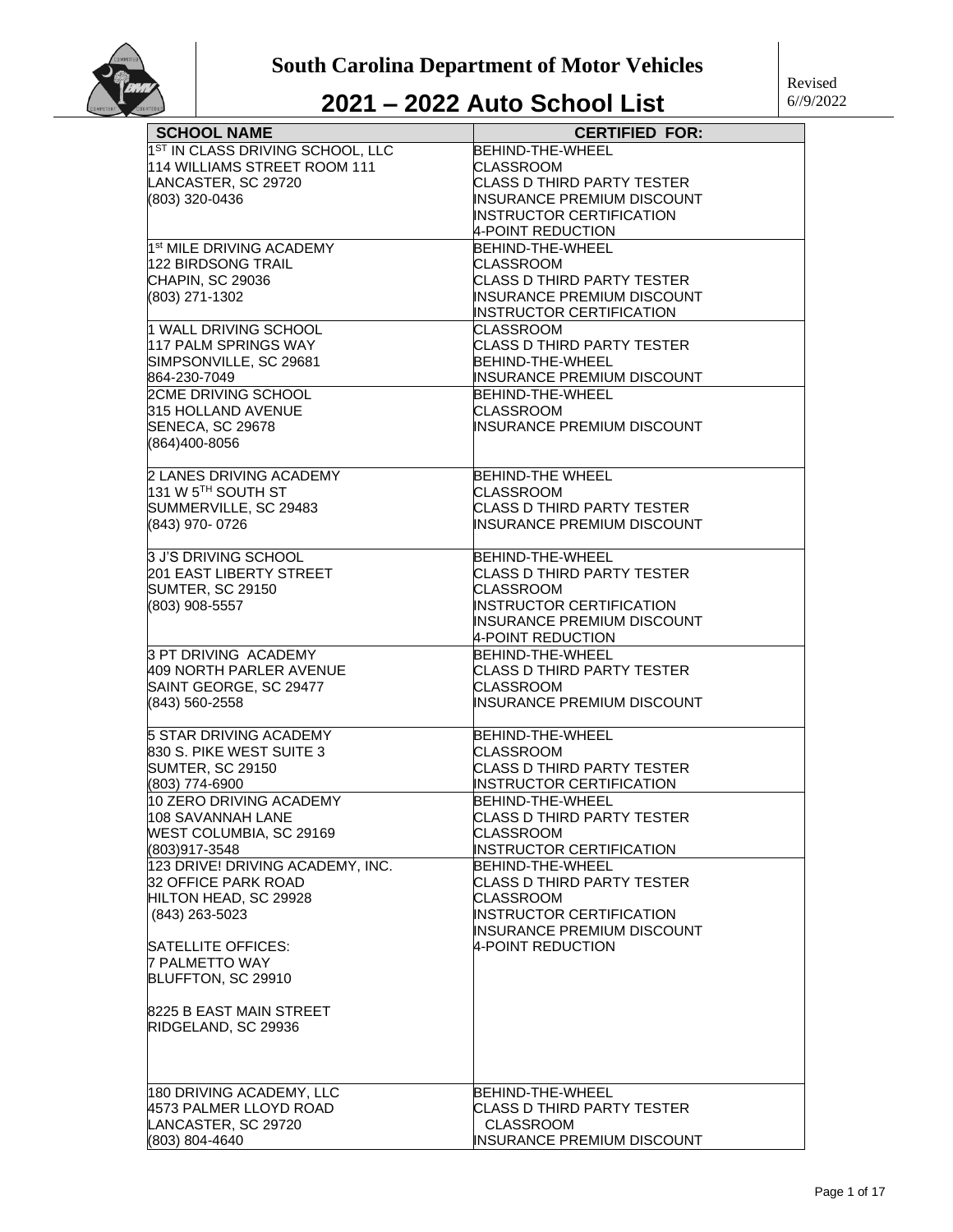| <b>SCHOOL NAME</b>                              | <b>CERTIFIED FOR:</b>             |
|-------------------------------------------------|-----------------------------------|
| 1 <sup>ST</sup> IN CLASS DRIVING SCHOOL, LLC    | <b>BEHIND-THE-WHEEL</b>           |
| 114 WILLIAMS STREET ROOM 111                    | CLASSROOM                         |
| LANCASTER, SC 29720                             | CLASS D THIRD PARTY TESTER        |
| (803) 320-0436                                  | INSURANCE PREMIUM DISCOUNT        |
|                                                 | INSTRUCTOR CERTIFICATION          |
|                                                 |                                   |
|                                                 | 4-POINT REDUCTION                 |
| 1 <sup>st</sup> MILE DRIVING ACADEMY            | BEHIND-THE-WHEEL                  |
| 122 BIRDSONG TRAIL                              | CLASSROOM                         |
| CHAPIN, SC 29036                                | <b>CLASS D THIRD PARTY TESTER</b> |
| (803) 271-1302                                  | INSURANCE PREMIUM DISCOUNT        |
|                                                 | <b>INSTRUCTOR CERTIFICATION</b>   |
| 1 WALL DRIVING SCHOOL                           | CLASSROOM                         |
| 117 PALM SPRINGS WAY                            | CLASS D THIRD PARTY TESTER        |
| SIMPSONVILLE, SC 29681                          | BEHIND-THE-WHEEL                  |
| 864-230-7049                                    | INSURANCE PREMIUM DISCOUNT        |
| <b>2CME DRIVING SCHOOL</b>                      | BEHIND-THE-WHEEL                  |
|                                                 |                                   |
| 315 HOLLAND AVENUE                              | CLASSROOM                         |
| SENECA, SC 29678                                | INSURANCE PREMIUM DISCOUNT        |
| (864)400-8056                                   |                                   |
|                                                 |                                   |
| 2 LANES DRIVING ACADEMY                         | <b>BEHIND-THE WHEEL</b>           |
| 131 W 5 $^{\text{\tiny{\textsf{TH}}}}$ SOUTH ST | <b>CLASSROOM</b>                  |
| SUMMERVILLE, SC 29483                           | <b>CLASS D THIRD PARTY TESTER</b> |
| (843) 970-0726                                  | <b>INSURANCE PREMIUM DISCOUNT</b> |
|                                                 |                                   |
| <b>3 J'S DRIVING SCHOOL</b>                     | BEHIND-THE-WHEEL                  |
| 201 EAST LIBERTY STREET                         | CLASS D THIRD PARTY TESTER        |
| <b>SUMTER, SC 29150</b>                         | <b>CLASSROOM</b>                  |
| (803) 908-5557                                  | INSTRUCTOR CERTIFICATION          |
|                                                 | INSURANCE PREMIUM DISCOUNT        |
|                                                 | 4-POINT REDUCTION                 |
| 3 PT DRIVING ACADEMY                            | BEHIND-THE-WHEEL                  |
|                                                 |                                   |
| 409 NORTH PARLER AVENUE                         | CLASS D THIRD PARTY TESTER        |
| SAINT GEORGE, SC 29477                          | <b>CLASSROOM</b>                  |
| (843) 560-2558                                  | INSURANCE PREMIUM DISCOUNT        |
| <b>5 STAR DRIVING ACADEMY</b>                   | BEHIND-THE-WHEEL                  |
|                                                 |                                   |
| 830 S. PIKE WEST SUITE 3                        | <b>CLASSROOM</b>                  |
| <b>SUMTER, SC 29150</b>                         | CLASS D THIRD PARTY TESTER        |
| (803) 774-6900                                  | INSTRUCTOR CERTIFICATION          |
| 10 ZERO DRIVING ACADEMY                         | BEHIND-THE-WHEEL                  |
| 1108 SAVANNAH LANE                              | ICLASS D THIRD PARTY TESTER       |
| <b>WEST COLUMBIA, SC 29169</b>                  | <b>CLASSROOM</b>                  |
| (803)917-3548                                   | INSTRUCTOR CERTIFICATION          |
| 123 DRIVE! DRIVING ACADEMY, INC.                | BEHIND-THE-WHEEL                  |
| 32 OFFICE PARK ROAD                             | CLASS D THIRD PARTY TESTER        |
| HILTON HEAD, SC 29928                           | CLASSROOM                         |
| $(843)$ 263-5023                                | INSTRUCTOR CERTIFICATION          |
|                                                 | <b>INSURANCE PREMIUM DISCOUNT</b> |
| <b>SATELLITE OFFICES:</b>                       | 4-POINT REDUCTION                 |
| <b>7 PALMETTO WAY</b>                           |                                   |
| BLUFFTON, SC 29910                              |                                   |
|                                                 |                                   |
| 8225 B EAST MAIN STREET                         |                                   |
| RIDGELAND, SC 29936                             |                                   |
|                                                 |                                   |
|                                                 |                                   |
| 180 DRIVING ACADEMY, LLC                        | BEHIND-THE-WHEEL                  |
| 4573 PALMER LLOYD ROAD                          | <b>CLASS D THIRD PARTY TESTER</b> |
| LANCASTER, SC 29720                             | <b>CLASSROOM</b>                  |
| (803) 804-4640                                  | INSURANCE PREMIUM DISCOUNT        |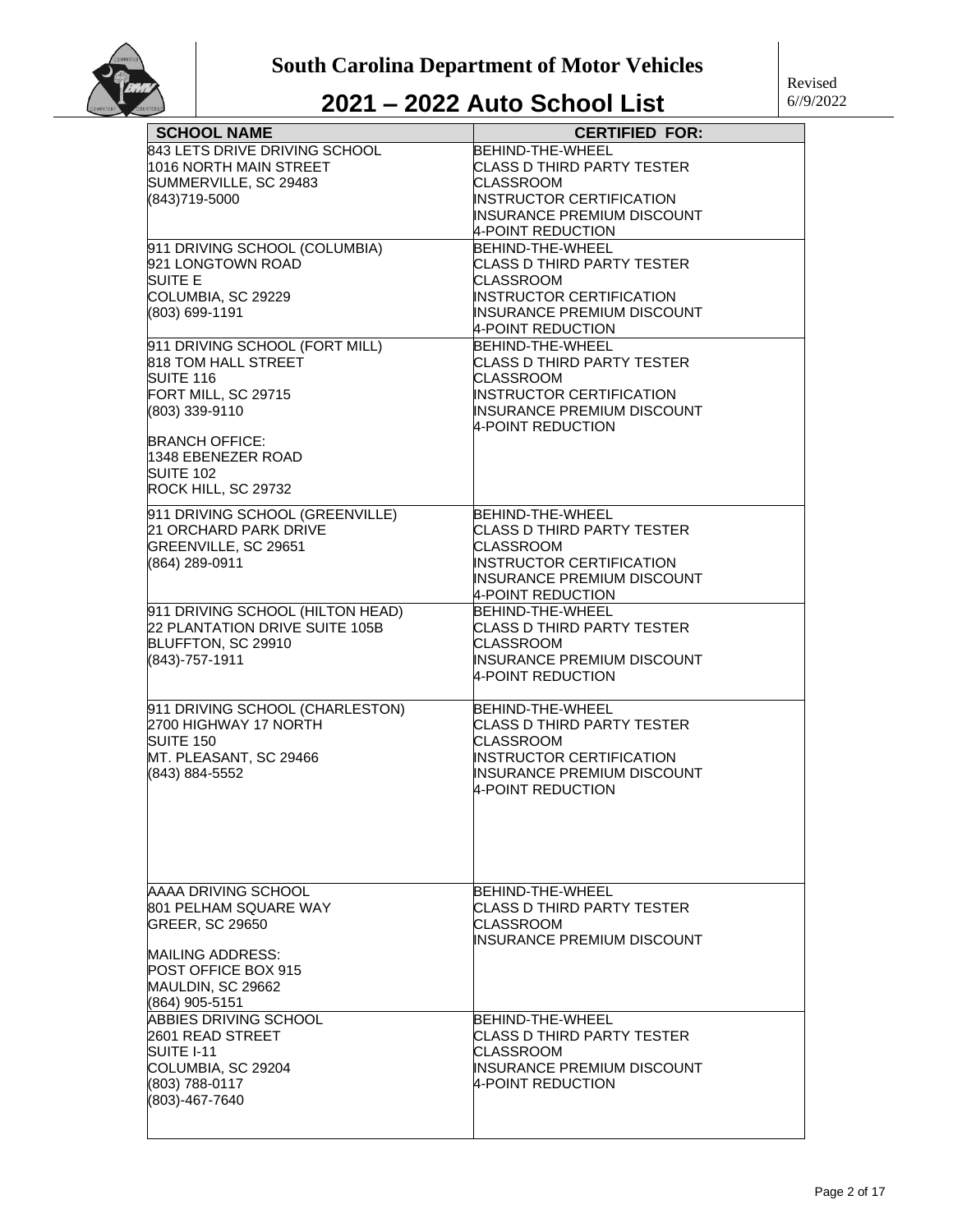

| <b>SCHOOL NAME</b>                                    | <b>CERTIFIED FOR:</b>                           |
|-------------------------------------------------------|-------------------------------------------------|
| 843 LETS DRIVE DRIVING SCHOOL                         | BEHIND-THE-WHEEL                                |
| 1016 NORTH MAIN STREET                                | <b>CLASS D THIRD PARTY TESTER</b>               |
| SUMMERVILLE, SC 29483                                 | CLASSROOM                                       |
| (843)719-5000                                         | INSTRUCTOR CERTIFICATION                        |
|                                                       | INSURANCE PREMIUM DISCOUNT                      |
|                                                       | 4-POINT REDUCTION                               |
| 911 DRIVING SCHOOL (COLUMBIA)                         | BEHIND-THE-WHEEL                                |
| 921 LONGTOWN ROAD                                     | CLASS D THIRD PARTY TESTER                      |
| SUITE E                                               | CLASSROOM                                       |
| COLUMBIA, SC 29229                                    | <b>INSTRUCTOR CERTIFICATION</b>                 |
| (803) 699-1191                                        | INSURANCE PREMIUM DISCOUNT                      |
|                                                       | 4-POINT REDUCTION                               |
| 911 DRIVING SCHOOL (FORT MILL)<br>818 TOM HALL STREET | BEHIND-THE-WHEEL<br>CLASS D THIRD PARTY TESTER  |
| <b>SUITE 116</b>                                      | CLASSROOM                                       |
| FORT MILL, SC 29715                                   | INSTRUCTOR CERTIFICATION                        |
| (803) 339-9110                                        | INSURANCE PREMIUM DISCOUNT                      |
|                                                       | 4-POINT REDUCTION                               |
| <b>BRANCH OFFICE:</b>                                 |                                                 |
| 1348 EBENEZER ROAD                                    |                                                 |
| <b>SUITE 102</b>                                      |                                                 |
| ROCK HILL, SC 29732                                   |                                                 |
| 911 DRIVING SCHOOL (GREENVILLE)                       | BEHIND-THE-WHEEL                                |
| 21 ORCHARD PARK DRIVE                                 | <b>CLASS D THIRD PARTY TESTER</b>               |
| GREENVILLE, SC 29651                                  | CLASSROOM                                       |
| (864) 289-0911                                        | INSTRUCTOR CERTIFICATION                        |
|                                                       | INSURANCE PREMIUM DISCOUNT                      |
|                                                       | 4-POINT REDUCTION                               |
| 911 DRIVING SCHOOL (HILTON HEAD)                      | BEHIND-THE-WHEEL                                |
| 22 PLANTATION DRIVE SUITE 105B                        | CLASS D THIRD PARTY TESTER                      |
| BLUFFTON, SC 29910                                    | CLASSROOM                                       |
| (843)-757-1911                                        | INSURANCE PREMIUM DISCOUNT<br>4-POINT REDUCTION |
|                                                       |                                                 |
| 911 DRIVING SCHOOL (CHARLESTON)                       | BEHIND-THE-WHEEL                                |
| 2700 HIGHWAY 17 NORTH                                 | CLASS D THIRD PARTY TESTER                      |
| SUITE 150                                             | CLASSROOM                                       |
| MT. PLEASANT, SC 29466                                | INSTRUCTOR CERTIFICATION                        |
| (843) 884-5552                                        | <b>INSURANCE PREMIUM DISCOUNT</b>               |
|                                                       | 4-POINT REDUCTION                               |
|                                                       |                                                 |
|                                                       |                                                 |
|                                                       |                                                 |
|                                                       |                                                 |
| AAAA DRIVING SCHOOL                                   | BEHIND-THE-WHEEL                                |
| 801 PELHAM SQUARE WAY                                 | CLASS D THIRD PARTY TESTER                      |
| <b>GREER, SC 29650</b>                                | CLASSROOM                                       |
|                                                       | INSURANCE PREMIUM DISCOUNT                      |
| MAILING ADDRESS:                                      |                                                 |
| POST OFFICE BOX 915                                   |                                                 |
| MAULDIN, SC 29662                                     |                                                 |
| (864) 905-5151                                        |                                                 |
| ABBIES DRIVING SCHOOL                                 | BEHIND-THE-WHEEL                                |
| 2601 READ STREET                                      | CLASS D THIRD PARTY TESTER                      |
| SUITE I-11                                            | CLASSROOM                                       |
| COLUMBIA, SC 29204                                    | INSURANCE PREMIUM DISCOUNT                      |
| (803) 788-0117<br>(803)-467-7640                      | 4-POINT REDUCTION                               |
|                                                       |                                                 |
|                                                       |                                                 |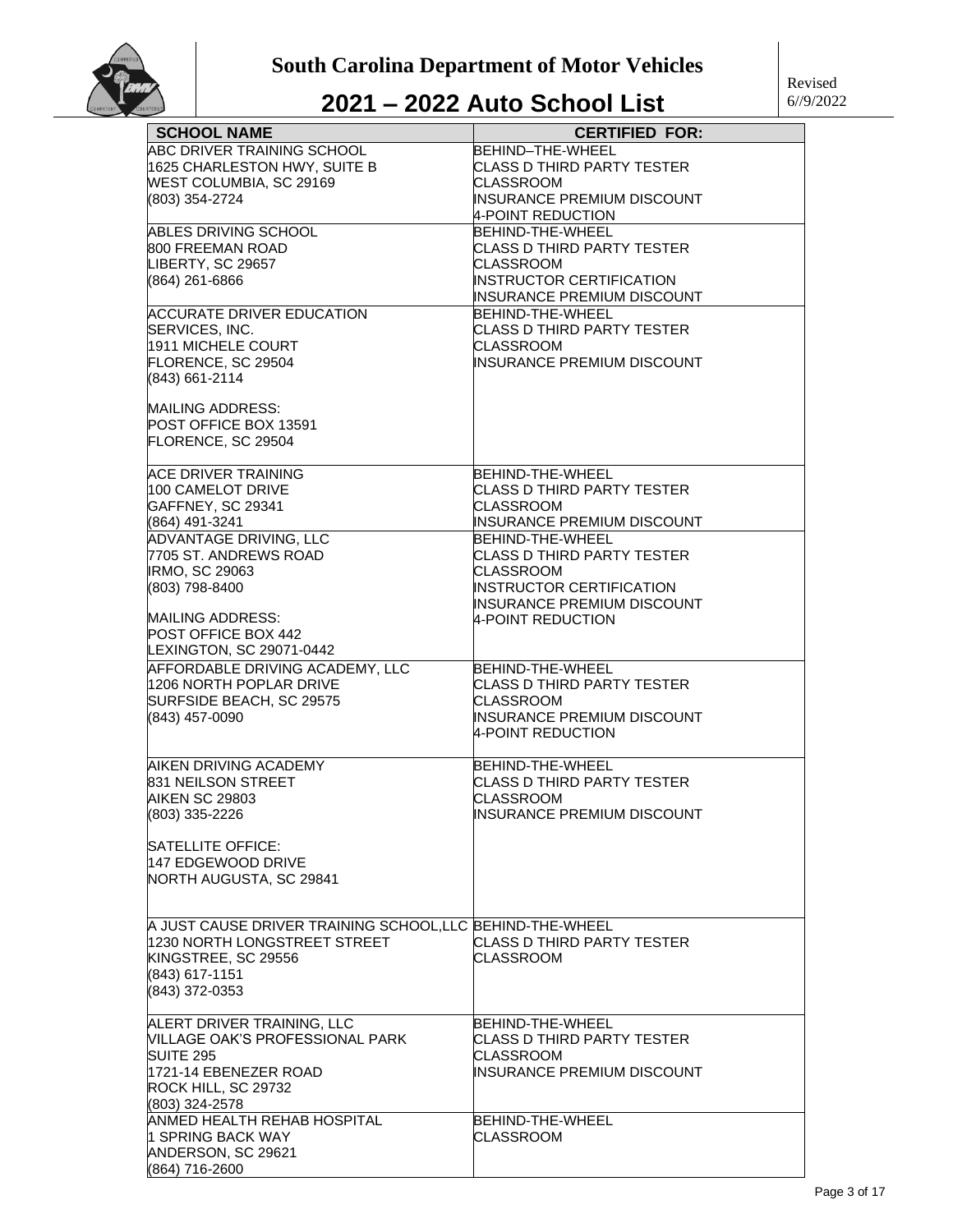

| <b>SCHOOL NAME</b>                                       | <b>CERTIFIED FOR:</b>             |
|----------------------------------------------------------|-----------------------------------|
| ABC DRIVER TRAINING SCHOOL                               | BEHIND-THE-WHEEL                  |
| 1625 CHARLESTON HWY, SUITE B                             | CLASS D THIRD PARTY TESTER        |
| WEST COLUMBIA, SC 29169                                  | CLASSROOM                         |
| (803) 354-2724                                           | INSURANCE PREMIUM DISCOUNT        |
|                                                          | 4-POINT REDUCTION                 |
| ABLES DRIVING SCHOOL                                     | BEHIND-THE-WHEEL                  |
| 800 FREEMAN ROAD                                         | CLASS D THIRD PARTY TESTER        |
| LIBERTY, SC 29657                                        | CLASSROOM                         |
| (864) 261-6866                                           | <b>INSTRUCTOR CERTIFICATION</b>   |
|                                                          | INSURANCE PREMIUM DISCOUNT        |
| <b>ACCURATE DRIVER EDUCATION</b>                         | BEHIND-THE-WHEEL                  |
| SERVICES, INC.                                           | CLASS D THIRD PARTY TESTER        |
| 1911 MICHELE COURT                                       | CLASSROOM                         |
| FLORENCE, SC 29504                                       | INSURANCE PREMIUM DISCOUNT        |
| (843) 661-2114                                           |                                   |
|                                                          |                                   |
| <b>MAILING ADDRESS:</b>                                  |                                   |
| POST OFFICE BOX 13591                                    |                                   |
| FLORENCE, SC 29504                                       |                                   |
| ACE DRIVER TRAINING                                      | BEHIND-THE-WHEEL                  |
| 100 CAMELOT DRIVE                                        | CLASS D THIRD PARTY TESTER        |
| GAFFNEY, SC 29341                                        | CLASSROOM                         |
| (864) 491-3241                                           | INSURANCE PREMIUM DISCOUNT        |
| <b>ADVANTAGE DRIVING, LLC</b>                            | BEHIND-THE-WHEEL                  |
| 7705 ST. ANDREWS ROAD                                    | CLASS D THIRD PARTY TESTER        |
| <b>IRMO, SC 29063</b>                                    | CLASSROOM                         |
| (803) 798-8400                                           | <b>INSTRUCTOR CERTIFICATION</b>   |
|                                                          | <b>INSURANCE PREMIUM DISCOUNT</b> |
| <b>MAILING ADDRESS:</b>                                  | 4-POINT REDUCTION                 |
| POST OFFICE BOX 442                                      |                                   |
| LEXINGTON, SC 29071-0442                                 |                                   |
| AFFORDABLE DRIVING ACADEMY, LLC                          | BEHIND-THE-WHEEL                  |
| 1206 NORTH POPLAR DRIVE                                  | <b>CLASS D THIRD PARTY TESTER</b> |
| SURFSIDE BEACH, SC 29575                                 | CLASSROOM                         |
| (843) 457-0090                                           | INSURANCE PREMIUM DISCOUNT        |
|                                                          | 4-POINT REDUCTION                 |
|                                                          |                                   |
| AIKEN DRIVING ACADEMY                                    | BEHIND-THE-WHEEL                  |
| 831 NEILSON STREET                                       | CLASS D THIRD PARTY TESTER        |
| <b>AIKEN SC 29803</b>                                    | CLASSROOM                         |
| (803) 335-2226                                           | IINSURANCE PREMIUM DISCOUNT       |
|                                                          |                                   |
| <b>SATELLITE OFFICE:</b>                                 |                                   |
| 147 EDGEWOOD DRIVE                                       |                                   |
| NORTH AUGUSTA, SC 29841                                  |                                   |
|                                                          |                                   |
| A JUST CAUSE DRIVER TRAINING SCHOOL,LLC BEHIND-THE-WHEEL |                                   |
| 1230 NORTH LONGSTREET STREET                             | CLASS D THIRD PARTY TESTER        |
| KINGSTREE, SC 29556                                      | <b>CLASSROOM</b>                  |
|                                                          |                                   |
| (843) 617-1151<br>(843) 372-0353                         |                                   |
|                                                          |                                   |
| ALERT DRIVER TRAINING, LLC                               | BEHIND-THE-WHEEL                  |
| VILLAGE OAK'S PROFESSIONAL PARK                          | CLASS D THIRD PARTY TESTER        |
| <b>SUITE 295</b>                                         | CLASSROOM                         |
| 1721-14 EBENEZER ROAD                                    | INSURANCE PREMIUM DISCOUNT        |
| ROCK HILL, SC 29732                                      |                                   |
| (803) 324-2578                                           |                                   |
| ANMED HEALTH REHAB HOSPITAL                              | BEHIND-THE-WHEEL                  |
| l1 SPRING BACK WAY                                       | <b>CLASSROOM</b>                  |
| ANDERSON, SC 29621                                       |                                   |
| (864) 716-2600                                           |                                   |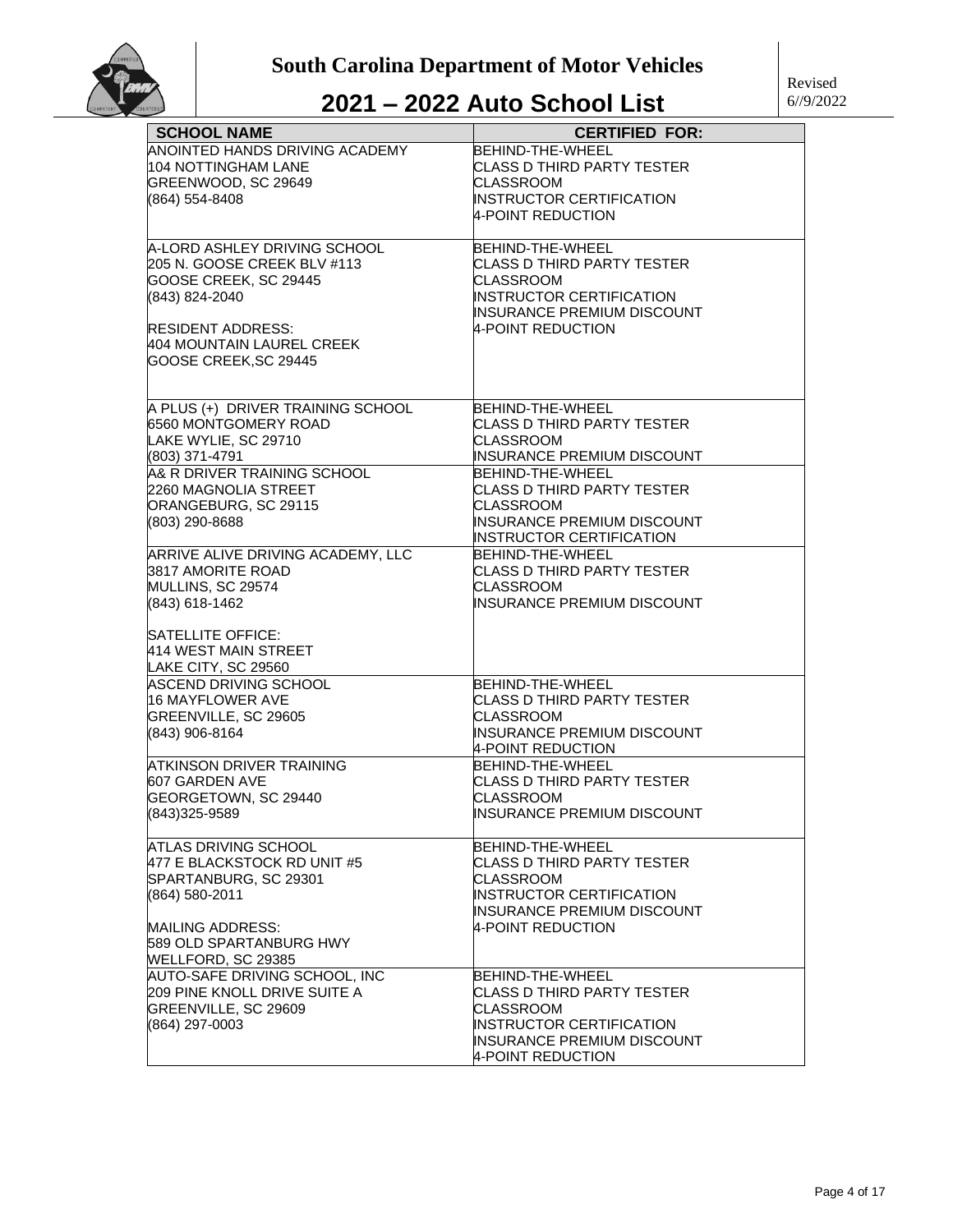| <b>SCHOOL NAME</b>                | <b>CERTIFIED FOR:</b>             |
|-----------------------------------|-----------------------------------|
| ANOINTED HANDS DRIVING ACADEMY    | <b>BEHIND-THE-WHEEL</b>           |
| 104 NOTTINGHAM LANE               | CLASS D THIRD PARTY TESTER        |
| GREENWOOD, SC 29649               | CLASSROOM                         |
| (864) 554-8408                    | <b>INSTRUCTOR CERTIFICATION</b>   |
|                                   | <b>4-POINT REDUCTION</b>          |
|                                   |                                   |
| A-LORD ASHLEY DRIVING SCHOOL      | BEHIND-THE-WHEEL                  |
| 205 N. GOOSE CREEK BLV #113       | CLASS D THIRD PARTY TESTER        |
| GOOSE CREEK, SC 29445             | <b>CLASSROOM</b>                  |
| (843) 824-2040                    | <b>INSTRUCTOR CERTIFICATION</b>   |
|                                   | <b>INSURANCE PREMIUM DISCOUNT</b> |
| <b>RESIDENT ADDRESS:</b>          | 4-POINT REDUCTION                 |
| 404 MOUNTAIN LAUREL CREEK         |                                   |
| GOOSE CREEK, SC 29445             |                                   |
|                                   |                                   |
|                                   |                                   |
| A PLUS (+) DRIVER TRAINING SCHOOL | BEHIND-THE-WHEEL                  |
| 6560 MONTGOMERY ROAD              | CLASS D THIRD PARTY TESTER        |
| LAKE WYLIE, SC 29710              | <b>CLASSROOM</b>                  |
| (803) 371-4791                    | <b>INSURANCE PREMIUM DISCOUNT</b> |
| A& R DRIVER TRAINING SCHOOL       | BEHIND-THE-WHEEL                  |
| 2260 MAGNOLIA STREET              | CLASS D THIRD PARTY TESTER        |
| ORANGEBURG, SC 29115              | CLASSROOM                         |
| (803) 290-8688                    | <b>INSURANCE PREMIUM DISCOUNT</b> |
|                                   | <b>INSTRUCTOR CERTIFICATION</b>   |
| ARRIVE ALIVE DRIVING ACADEMY, LLC | BEHIND-THE-WHEEL                  |
| 3817 AMORITE ROAD                 | <b>CLASS D THIRD PARTY TESTER</b> |
| MULLINS, SC 29574                 | <b>CLASSROOM</b>                  |
| (843) 618-1462                    | INSURANCE PREMIUM DISCOUNT        |
|                                   |                                   |
| <b>SATELLITE OFFICE:</b>          |                                   |
| 414 WEST MAIN STREET              |                                   |
| LAKE CITY, SC 29560               |                                   |
| ASCEND DRIVING SCHOOL             | <b>BEHIND-THE-WHEEL</b>           |
| 16 MAYFLOWER AVE                  | CLASS D THIRD PARTY TESTER        |
| GREENVILLE, SC 29605              | <b>CLASSROOM</b>                  |
| (843) 906-8164                    | INSURANCE PREMIUM DISCOUNT        |
|                                   | 4-POINT REDUCTION                 |
| <b>ATKINSON DRIVER TRAINING</b>   | BEHIND-THE-WHEEL                  |
| 607 GARDEN AVE                    | CLASS D THIRD PARTY TESTER        |
| GEORGETOWN, SC 29440              | <b>CLASSROOM</b>                  |
| (843)325-9589                     | <b>INSURANCE PREMIUM DISCOUNT</b> |
|                                   |                                   |
| ATLAS DRIVING SCHOOL              | BEHIND-THE-WHEEL                  |
| 477 E BLACKSTOCK RD UNIT #5       | CLASS D THIRD PARTY TESTER        |
| SPARTANBURG, SC 29301             | CLASSROOM                         |
| (864) 580-2011                    | <b>INSTRUCTOR CERTIFICATION</b>   |
|                                   | <b>INSURANCE PREMIUM DISCOUNT</b> |
| MAILING ADDRESS:                  | 4-POINT REDUCTION                 |
| 589 OLD SPARTANBURG HWY           |                                   |
| WELLFORD, SC 29385                |                                   |
| AUTO-SAFE DRIVING SCHOOL, INC     | BEHIND-THE-WHEEL                  |
| 209 PINE KNOLL DRIVE SUITE A      | CLASS D THIRD PARTY TESTER        |
|                                   | <b>CLASSROOM</b>                  |
| GREENVILLE, SC 29609              | INSTRUCTOR CERTIFICATION          |
| (864) 297-0003                    |                                   |
|                                   | INSURANCE PREMIUM DISCOUNT        |
|                                   | 4-POINT REDUCTION                 |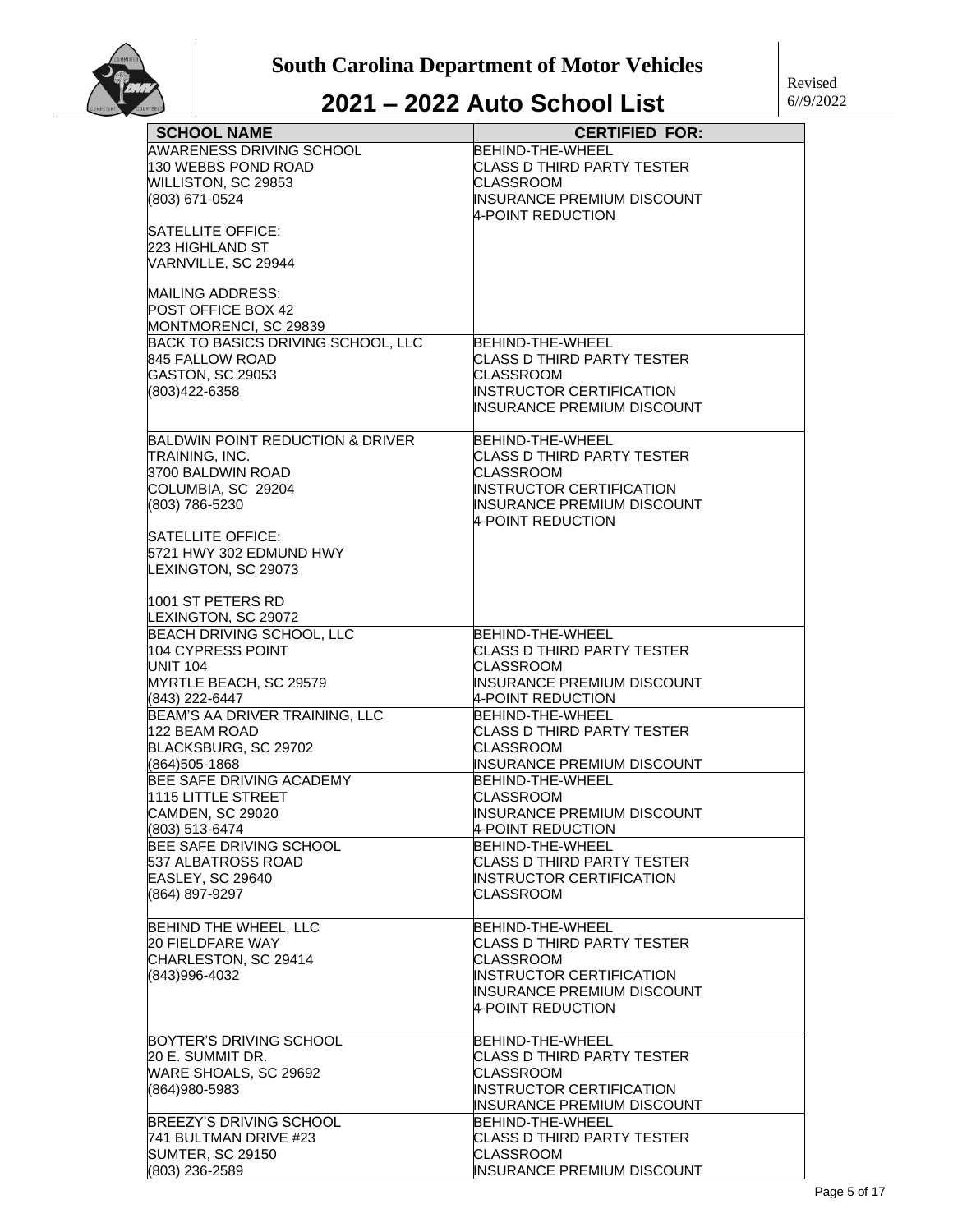| <b>SCHOOL NAME</b>                              | <b>CERTIFIED FOR:</b>                          |
|-------------------------------------------------|------------------------------------------------|
| AWARENESS DRIVING SCHOOL                        | <b>BEHIND-THE-WHEEL</b>                        |
| 130 WEBBS POND ROAD                             | CLASS D THIRD PARTY TESTER                     |
| WILLISTON, SC 29853                             | <b>CLASSROOM</b>                               |
| (803) 671-0524                                  | INSURANCE PREMIUM DISCOUNT                     |
|                                                 | 4-POINT REDUCTION                              |
| <b>SATELLITE OFFICE:</b>                        |                                                |
| 223 HIGHLAND ST                                 |                                                |
| VARNVILLE, SC 29944                             |                                                |
|                                                 |                                                |
| <b>MAILING ADDRESS:</b>                         |                                                |
| POST OFFICE BOX 42                              |                                                |
| MONTMORENCI, SC 29839                           |                                                |
| BACK TO BASICS DRIVING SCHOOL, LLC              | BEHIND-THE-WHEEL                               |
| 845 FALLOW ROAD                                 | CLASS D THIRD PARTY TESTER                     |
| GASTON, SC 29053                                | CLASSROOM                                      |
| (803)422-6358                                   | INSTRUCTOR CERTIFICATION                       |
|                                                 | INSURANCE PREMIUM DISCOUNT                     |
|                                                 |                                                |
| <b>BALDWIN POINT REDUCTION &amp; DRIVER</b>     | BEHIND-THE-WHEEL                               |
| TRAINING, INC.                                  | CLASS D THIRD PARTY TESTER                     |
| 3700 BALDWIN ROAD                               | CLASSROOM                                      |
| COLUMBIA, SC 29204                              | <b>INSTRUCTOR CERTIFICATION</b>                |
| (803) 786-5230                                  | INSURANCE PREMIUM DISCOUNT                     |
|                                                 | 4-POINT REDUCTION                              |
| <b>SATELLITE OFFICE:</b>                        |                                                |
| 5721 HWY 302 EDMUND HWY                         |                                                |
| LEXINGTON, SC 29073                             |                                                |
|                                                 |                                                |
| 1001 ST PETERS RD                               |                                                |
| LEXINGTON, SC 29072                             |                                                |
| BEACH DRIVING SCHOOL, LLC                       | BEHIND-THE-WHEEL                               |
| 104 CYPRESS POINT                               | CLASS D THIRD PARTY TESTER                     |
| <b>UNIT 104</b>                                 | <b>CLASSROOM</b>                               |
| MYRTLE BEACH, SC 29579                          | INSURANCE PREMIUM DISCOUNT                     |
| (843) 222-6447                                  | 4-POINT REDUCTION                              |
| BEAM'S AA DRIVER TRAINING, LLC<br>122 BEAM ROAD | BEHIND-THE-WHEEL<br>CLASS D THIRD PARTY TESTER |
| BLACKSBURG, SC 29702                            | <b>CLASSROOM</b>                               |
| (864)505-1868                                   | INSURANCE PREMIUM DISCOUNT                     |
| BEE SAFE DRIVING ACADEMY                        | BEHIND-THE-WHEEL                               |
| 1115 LITTLE STREET                              | <b>CLASSROOM</b>                               |
| <b>CAMDEN, SC 29020</b>                         | INSURANCE PREMIUM DISCOUNT                     |
| (803) 513-6474                                  | 4-POINT REDUCTION                              |
| BEE SAFE DRIVING SCHOOL                         | BEHIND-THE-WHEEL                               |
| 537 ALBATROSS ROAD                              | CLASS D THIRD PARTY TESTER                     |
| EASLEY, SC 29640                                | <b>INSTRUCTOR CERTIFICATION</b>                |
| (864) 897-9297                                  | CLASSROOM                                      |
|                                                 |                                                |
| BEHIND THE WHEEL, LLC                           | BEHIND-THE-WHEEL                               |
| <b>20 FIELDFARE WAY</b>                         | CLASS D THIRD PARTY TESTER                     |
| CHARLESTON, SC 29414                            | CLASSROOM                                      |
| (843)996-4032                                   | INSTRUCTOR CERTIFICATION                       |
|                                                 | INSURANCE PREMIUM DISCOUNT                     |
|                                                 | 4-POINT REDUCTION                              |
|                                                 |                                                |
| <b>BOYTER'S DRIVING SCHOOL</b>                  | BEHIND-THE-WHEEL                               |
| 20 E. SUMMIT DR.                                | <b>CLASS D THIRD PARTY TESTER</b>              |
| WARE SHOALS, SC 29692                           | CLASSROOM                                      |
| (864)980-5983                                   | INSTRUCTOR CERTIFICATION                       |
|                                                 | INSURANCE PREMIUM DISCOUNT                     |
| BREEZY'S DRIVING SCHOOL                         | BEHIND-THE-WHEEL                               |
| 741 BULTMAN DRIVE #23                           | CLASS D THIRD PARTY TESTER                     |
| <b>SUMTER, SC 29150</b>                         | CLASSROOM                                      |
| (803) 236-2589                                  | INSURANCE PREMIUM DISCOUNT                     |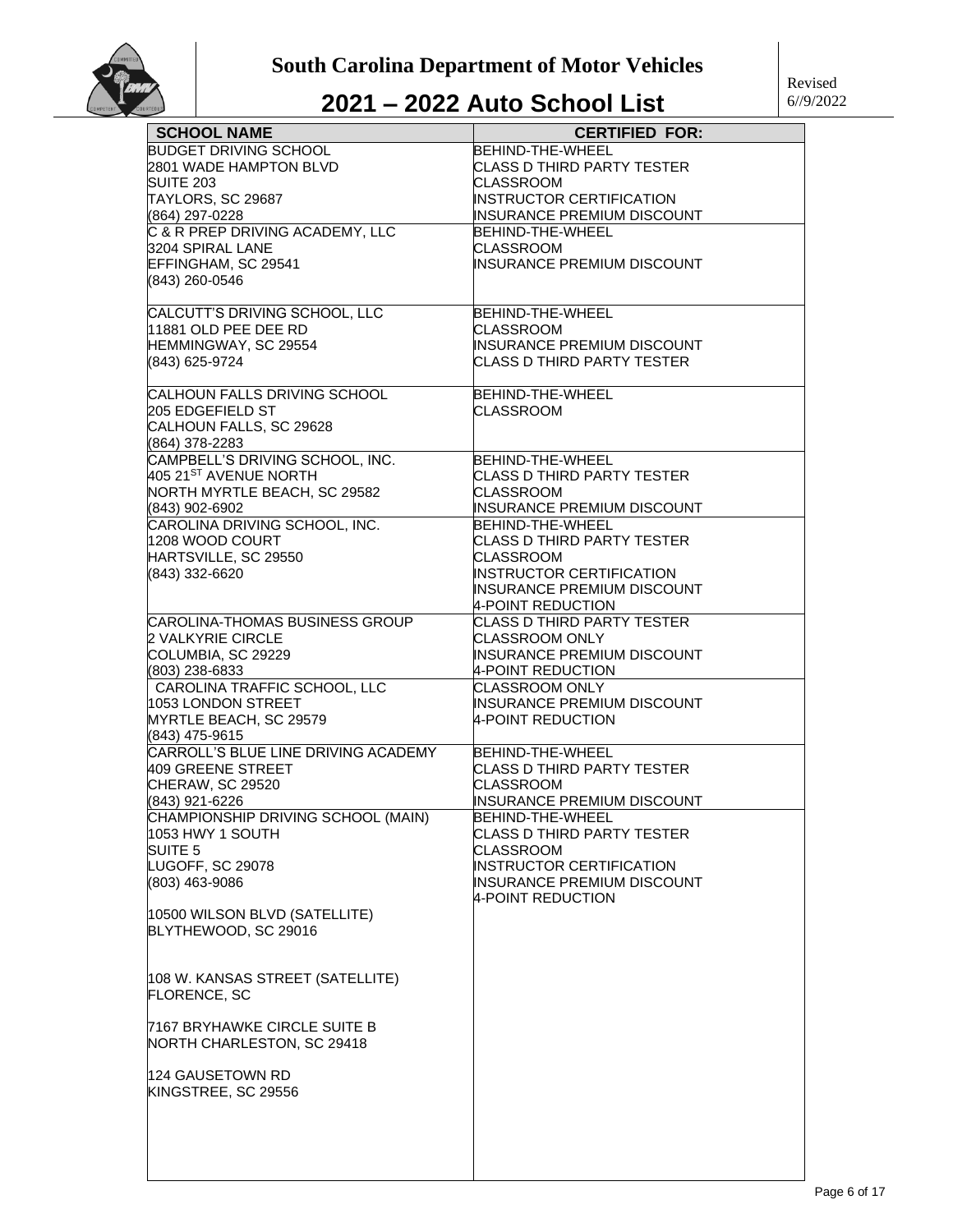

| <b>SCHOOL NAME</b>                    | <b>CERTIFIED FOR:</b>                                                |
|---------------------------------------|----------------------------------------------------------------------|
| <b>BUDGET DRIVING SCHOOL</b>          | BEHIND-THE-WHEEL                                                     |
| 2801 WADE HAMPTON BLVD                | CLASS D THIRD PARTY TESTER                                           |
| <b>SUITE 203</b>                      | CLASSROOM                                                            |
| TAYLORS, SC 29687                     | <b>INSTRUCTOR CERTIFICATION</b>                                      |
| (864) 297-0228                        | INSURANCE PREMIUM DISCOUNT                                           |
| C & R PREP DRIVING ACADEMY, LLC       | <b>BEHIND-THE-WHEEL</b>                                              |
| 3204 SPIRAL LANE                      | <b>CLASSROOM</b>                                                     |
| EFFINGHAM, SC 29541                   | INSURANCE PREMIUM DISCOUNT                                           |
| (843) 260-0546                        |                                                                      |
|                                       |                                                                      |
| CALCUTT'S DRIVING SCHOOL, LLC         | BEHIND-THE-WHEEL                                                     |
| 11881 OLD PEE DEE RD                  | CLASSROOM                                                            |
| HEMMINGWAY, SC 29554                  | INSURANCE PREMIUM DISCOUNT                                           |
| (843) 625-9724                        | CLASS D THIRD PARTY TESTER                                           |
|                                       |                                                                      |
| CALHOUN FALLS DRIVING SCHOOL          | BEHIND-THE-WHEEL                                                     |
| 205 EDGEFIELD ST                      | CLASSROOM                                                            |
| CALHOUN FALLS, SC 29628               |                                                                      |
| (864) 378-2283                        |                                                                      |
| CAMPBELL'S DRIVING SCHOOL, INC.       | BEHIND-THE-WHEEL                                                     |
| 405 21 <sup>ST</sup> AVENUE NORTH     | CLASS D THIRD PARTY TESTER                                           |
| NORTH MYRTLE BEACH, SC 29582          | <b>CLASSROOM</b>                                                     |
| (843) 902-6902                        | INSURANCE PREMIUM DISCOUNT                                           |
| CAROLINA DRIVING SCHOOL, INC.         | <b>BEHIND-THE-WHEEL</b>                                              |
| 1208 WOOD COURT                       | CLASS D THIRD PARTY TESTER                                           |
| HARTSVILLE, SC 29550                  | <b>CLASSROOM</b>                                                     |
| (843) 332-6620                        | <b>INSTRUCTOR CERTIFICATION</b>                                      |
|                                       | INSURANCE PREMIUM DISCOUNT                                           |
|                                       | 4-POINT REDUCTION                                                    |
| <b>CAROLINA-THOMAS BUSINESS GROUP</b> | <b>CLASS D THIRD PARTY TESTER</b>                                    |
| <b>2 VALKYRIE CIRCLE</b>              | CLASSROOM ONLY                                                       |
| COLUMBIA, SC 29229                    | INSURANCE PREMIUM DISCOUNT                                           |
| (803) 238-6833                        | 4-POINT REDUCTION                                                    |
| CAROLINA TRAFFIC SCHOOL, LLC          | CLASSROOM ONLY                                                       |
| 1053 LONDON STREET                    | INSURANCE PREMIUM DISCOUNT                                           |
| MYRTLE BEACH, SC 29579                | 4-POINT REDUCTION                                                    |
| (843) 475-9615                        |                                                                      |
| CARROLL'S BLUE LINE DRIVING ACADEMY   | <b>BEHIND-THE-WHEEL</b>                                              |
| 409 GREENE STREET                     | CLASS D THIRD PARTY TESTER                                           |
| CHERAW, SC 29520                      | CLASSROOM                                                            |
| (843) 921-6226                        | INSURANCE PREMIUM DISCOUNT                                           |
| CHAMPIONSHIP DRIVING SCHOOL (MAIN)    | <b>BEHIND-THE-WHEEL</b>                                              |
| 1053 HWY 1 SOUTH                      | CLASS D THIRD PARTY TESTER                                           |
| SUITE <sub>5</sub>                    | <b>CLASSROOM</b>                                                     |
| LUGOFF, SC 29078                      | <b>INSTRUCTOR CERTIFICATION</b><br><b>INSURANCE PREMIUM DISCOUNT</b> |
| (803) 463-9086                        | 4-POINT REDUCTION                                                    |
| 10500 WILSON BLVD (SATELLITE)         |                                                                      |
| BLYTHEWOOD, SC 29016                  |                                                                      |
|                                       |                                                                      |
|                                       |                                                                      |
| 108 W. KANSAS STREET (SATELLITE)      |                                                                      |
| <b>FLORENCE, SC</b>                   |                                                                      |
|                                       |                                                                      |
| 7167 BRYHAWKE CIRCLE SUITE B          |                                                                      |
| NORTH CHARLESTON, SC 29418            |                                                                      |
|                                       |                                                                      |
| 124 GAUSETOWN RD                      |                                                                      |
| KINGSTREE, SC 29556                   |                                                                      |
|                                       |                                                                      |
|                                       |                                                                      |
|                                       |                                                                      |
|                                       |                                                                      |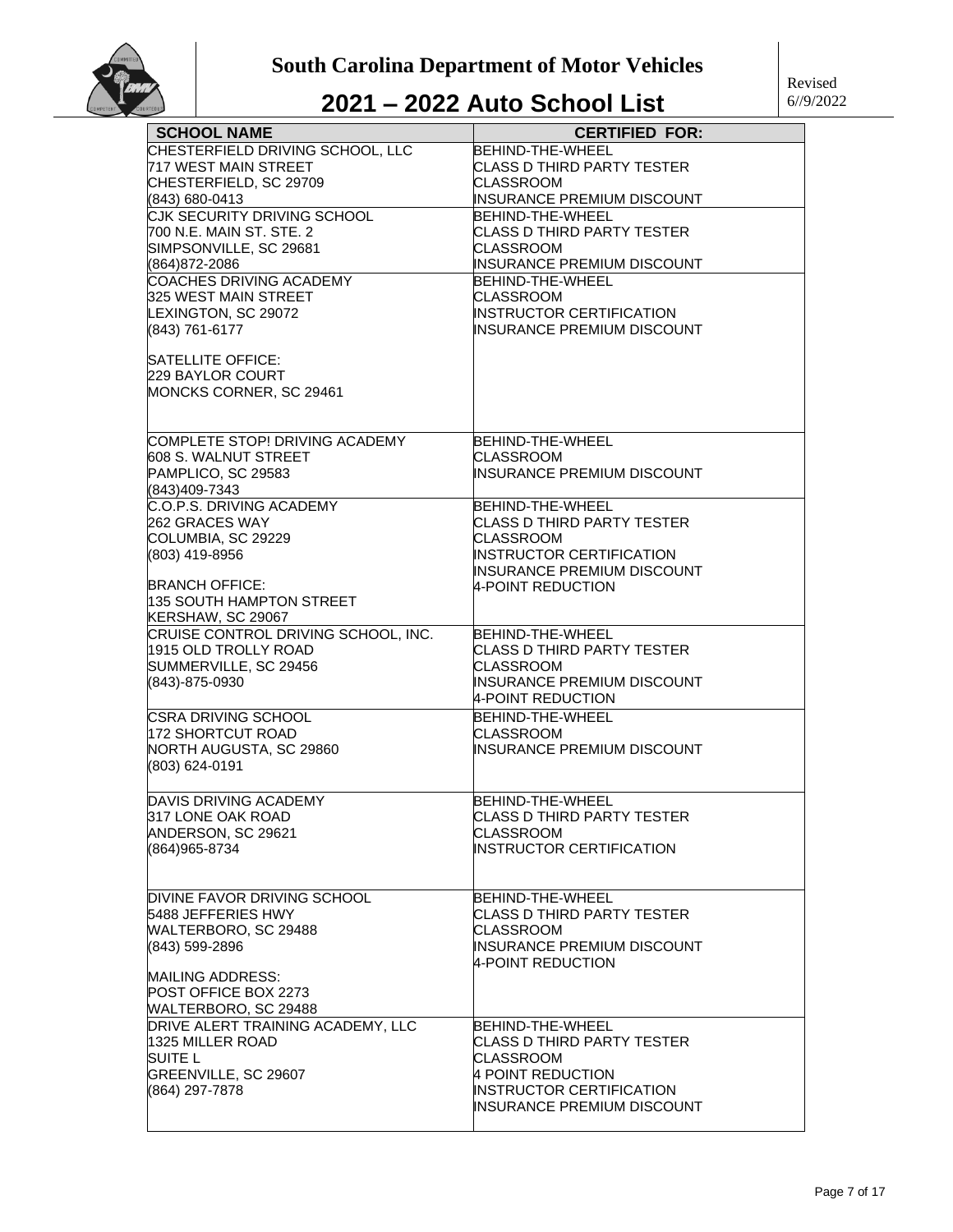

| <b>SCHOOL NAME</b>                          | <b>CERTIFIED FOR:</b>                                 |
|---------------------------------------------|-------------------------------------------------------|
| CHESTERFIELD DRIVING SCHOOL, LLC            | BEHIND-THE-WHEEL                                      |
| 717 WEST MAIN STREET                        | <b>CLASS D THIRD PARTY TESTER</b>                     |
| CHESTERFIELD, SC 29709                      | <b>CLASSROOM</b>                                      |
| (843) 680-0413                              | INSURANCE PREMIUM DISCOUNT                            |
| CJK SECURITY DRIVING SCHOOL                 | BEHIND-THE-WHEEL                                      |
| 700 N.E. MAIN ST. STE. 2                    | <b>CLASS D THIRD PARTY TESTER</b><br><b>CLASSROOM</b> |
| SIMPSONVILLE, SC 29681<br>(864)872-2086     | INSURANCE PREMIUM DISCOUNT                            |
| <b>COACHES DRIVING ACADEMY</b>              | BEHIND-THE-WHEEL                                      |
| 325 WEST MAIN STREET                        | CLASSROOM                                             |
| LEXINGTON, SC 29072                         | INSTRUCTOR CERTIFICATION                              |
| (843) 761-6177                              | INSURANCE PREMIUM DISCOUNT                            |
|                                             |                                                       |
| SATELLITE OFFICE:                           |                                                       |
| 229 BAYLOR COURT<br>MONCKS CORNER, SC 29461 |                                                       |
|                                             |                                                       |
|                                             |                                                       |
| COMPLETE STOP! DRIVING ACADEMY              | BEHIND-THE-WHEEL                                      |
| 608 S. WALNUT STREET                        | <b>CLASSROOM</b>                                      |
| PAMPLICO, SC 29583                          | INSURANCE PREMIUM DISCOUNT                            |
| (843)409-7343                               |                                                       |
| C.O.P.S. DRIVING ACADEMY                    | BEHIND-THE-WHEEL                                      |
| 262 GRACES WAY                              | <b>CLASS D THIRD PARTY TESTER</b><br>CLASSROOM        |
| COLUMBIA, SC 29229<br>(803) 419-8956        | INSTRUCTOR CERTIFICATION                              |
|                                             | INSURANCE PREMIUM DISCOUNT                            |
| <b>BRANCH OFFICE:</b>                       | 4-POINT REDUCTION                                     |
| 135 SOUTH HAMPTON STREET                    |                                                       |
| KERSHAW, SC 29067                           |                                                       |
| CRUISE CONTROL DRIVING SCHOOL, INC.         | BEHIND-THE-WHEEL                                      |
| 1915 OLD TROLLY ROAD                        | CLASS D THIRD PARTY TESTER                            |
| SUMMERVILLE, SC 29456<br>(843)-875-0930     | <b>CLASSROOM</b><br>INSURANCE PREMIUM DISCOUNT        |
|                                             | 4-POINT REDUCTION                                     |
| CSRA DRIVING SCHOOL                         | BEHIND-THE-WHEEL                                      |
| 172 SHORTCUT ROAD                           | CLASSROOM                                             |
| NORTH AUGUSTA, SC 29860                     | INSURANCE PREMIUM DISCOUNT                            |
| (803) 624-0191                              |                                                       |
|                                             |                                                       |
| DAVIS DRIVING ACADEMY                       | BEHIND-THE-WHEEL                                      |
| 317 LONE OAK ROAD                           | <b>CLASS D THIRD PARTY TESTER</b>                     |
| ANDERSON, SC 29621                          | <b>CLASSROOM</b>                                      |
| (864) 965-8734                              | INSTRUCTOR CERTIFICATION                              |
|                                             |                                                       |
| DIVINE FAVOR DRIVING SCHOOL                 | BEHIND-THE-WHEEL                                      |
| 5488 JEFFERIES HWY                          | CLASS D THIRD PARTY TESTER                            |
| WALTERBORO, SC 29488                        | CLASSROOM                                             |
| (843) 599-2896                              | INSURANCE PREMIUM DISCOUNT                            |
| <b>MAILING ADDRESS:</b>                     | 4-POINT REDUCTION                                     |
| POST OFFICE BOX 2273                        |                                                       |
| WALTERBORO, SC 29488                        |                                                       |
| DRIVE ALERT TRAINING ACADEMY, LLC           | BEHIND-THE-WHEEL                                      |
| 1325 MILLER ROAD                            | CLASS D THIRD PARTY TESTER                            |
| SUITE L                                     | <b>CLASSROOM</b>                                      |
| GREENVILLE, SC 29607                        | 4 POINT REDUCTION                                     |
| (864) 297-7878                              | INSTRUCTOR CERTIFICATION                              |
|                                             | INSURANCE PREMIUM DISCOUNT                            |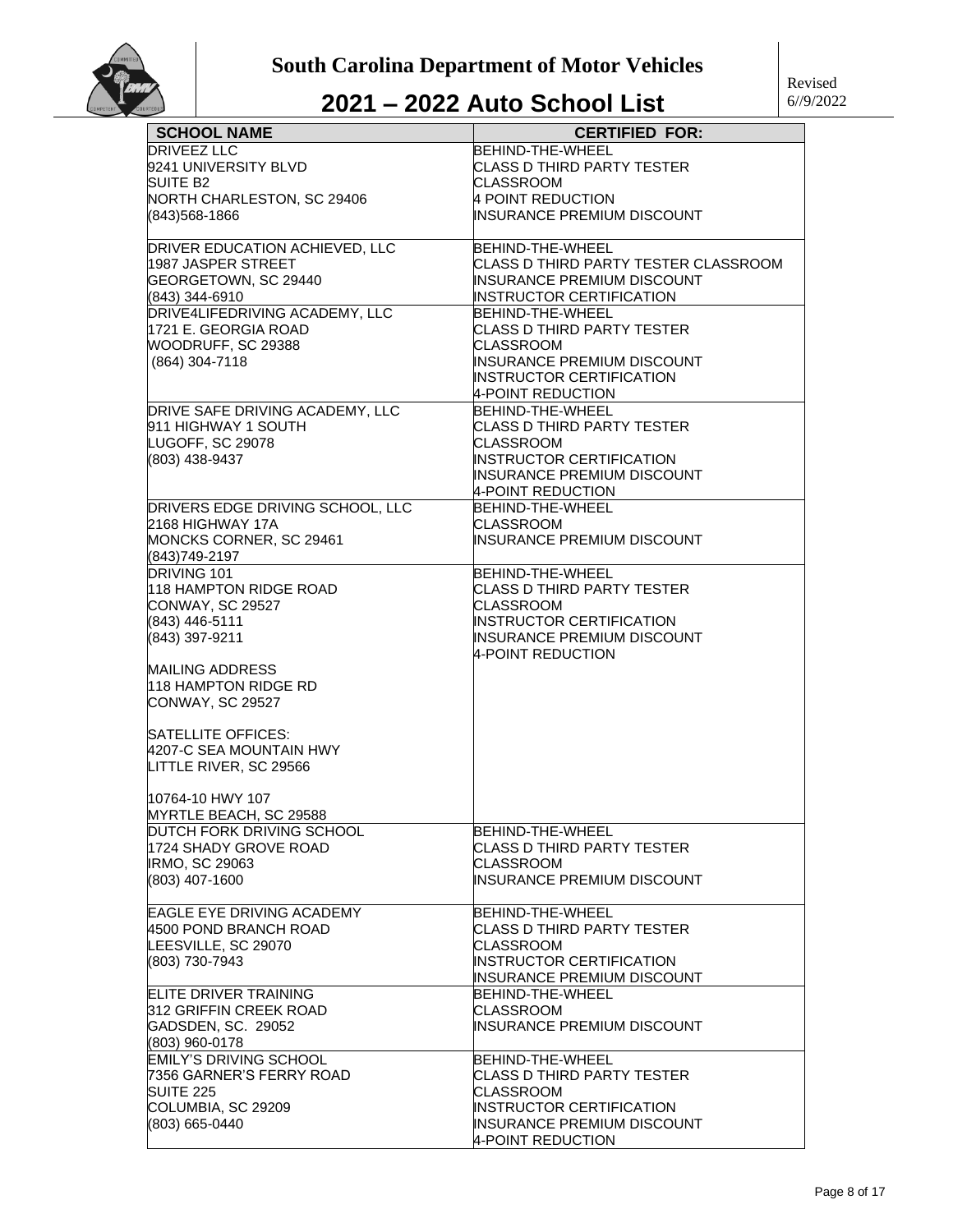

| <b>SCHOOL NAME</b>                                     | <b>CERTIFIED FOR:</b>                               |
|--------------------------------------------------------|-----------------------------------------------------|
| <b>DRIVEEZ LLC</b>                                     | BEHIND-THE-WHEEL                                    |
| 9241 UNIVERSITY BLVD                                   | <b>CLASS D THIRD PARTY TESTER</b>                   |
| <b>SUITE B2</b>                                        | <b>CLASSROOM</b>                                    |
| NORTH CHARLESTON, SC 29406                             | 4 POINT REDUCTION                                   |
| (843)568-1866                                          | INSURANCE PREMIUM DISCOUNT                          |
| DRIVER EDUCATION ACHIEVED, LLC                         | BEHIND-THE-WHEEL                                    |
| 1987 JASPER STREET                                     | CLASS D THIRD PARTY TESTER CLASSROOM                |
| GEORGETOWN, SC 29440                                   | <b>INSURANCE PREMIUM DISCOUNT</b>                   |
| (843) 344-6910                                         | <b>INSTRUCTOR CERTIFICATION</b><br>BEHIND-THE-WHEEL |
| DRIVE4LIFEDRIVING ACADEMY, LLC<br>1721 E. GEORGIA ROAD | <b>CLASS D THIRD PARTY TESTER</b>                   |
| WOODRUFF, SC 29388                                     | <b>CLASSROOM</b>                                    |
| (864) 304-7118                                         | <b>INSURANCE PREMIUM DISCOUNT</b>                   |
|                                                        | <b>INSTRUCTOR CERTIFICATION</b>                     |
|                                                        | 4-POINT REDUCTION                                   |
| DRIVE SAFE DRIVING ACADEMY, LLC                        | BEHIND-THE-WHEEL                                    |
| 911 HIGHWAY 1 SOUTH                                    | <b>CLASS D THIRD PARTY TESTER</b>                   |
| LUGOFF, SC 29078                                       | <b>CLASSROOM</b>                                    |
| (803) 438-9437                                         | <b>INSTRUCTOR CERTIFICATION</b>                     |
|                                                        | <b>INSURANCE PREMIUM DISCOUNT</b>                   |
|                                                        | 4-POINT REDUCTION                                   |
| DRIVERS EDGE DRIVING SCHOOL, LLC                       | BEHIND-THE-WHEEL                                    |
| 2168 HIGHWAY 17A                                       | CLASSROOM                                           |
| MONCKS CORNER, SC 29461                                | <b>INSURANCE PREMIUM DISCOUNT</b>                   |
| (843)749-2197                                          |                                                     |
| DRIVING 101                                            | BEHIND-THE-WHEEL                                    |
| 118 HAMPTON RIDGE ROAD                                 | CLASS D THIRD PARTY TESTER                          |
| CONWAY, SC 29527                                       | <b>CLASSROOM</b>                                    |
| (843) 446-5111                                         | <b>INSTRUCTOR CERTIFICATION</b>                     |
| (843) 397-9211                                         | <b>INSURANCE PREMIUM DISCOUNT</b>                   |
|                                                        | 4-POINT REDUCTION                                   |
| <b>MAILING ADDRESS</b>                                 |                                                     |
| 118 HAMPTON RIDGE RD                                   |                                                     |
| CONWAY, SC 29527                                       |                                                     |
| SATELLITE OFFICES:                                     |                                                     |
| 4207-C SEA MOUNTAIN HWY                                |                                                     |
| LITTLE RIVER, SC 29566                                 |                                                     |
| 10764-10 HWY 107                                       |                                                     |
| MYRTLE BEACH, SC 29588                                 |                                                     |
| DUTCH FORK DRIVING SCHOOL                              | BEHIND-THE-WHEEL                                    |
| 1724 SHADY GROVE ROAD                                  | ICLASS D THIRD PARTY TESTER                         |
| <b>IRMO, SC 29063</b>                                  | <b>CLASSROOM</b>                                    |
| (803) 407-1600                                         | INSURANCE PREMIUM DISCOUNT                          |
| <b>EAGLE EYE DRIVING ACADEMY</b>                       | BEHIND-THE-WHEEL                                    |
| 4500 POND BRANCH ROAD                                  | <b>CLASS D THIRD PARTY TESTER</b>                   |
| LEESVILLE, SC 29070                                    | <b>CLASSROOM</b>                                    |
| (803) 730-7943                                         | INSTRUCTOR CERTIFICATION                            |
|                                                        | INSURANCE PREMIUM DISCOUNT                          |
| <b>ELITE DRIVER TRAINING</b>                           | BEHIND-THE-WHEEL                                    |
| 312 GRIFFIN CREEK ROAD                                 | <b>CLASSROOM</b>                                    |
| GADSDEN, SC. 29052                                     | <b>INSURANCE PREMIUM DISCOUNT</b>                   |
| (803) 960-0178                                         |                                                     |
| <b>EMILY'S DRIVING SCHOOL</b>                          | BEHIND-THE-WHEEL                                    |
| 7356 GARNER'S FERRY ROAD                               | CLASS D THIRD PARTY TESTER                          |
| <b>SUITE 225</b>                                       | <b>CLASSROOM</b>                                    |
| COLUMBIA, SC 29209                                     | <b>INSTRUCTOR CERTIFICATION</b>                     |
| (803) 665-0440                                         | INSURANCE PREMIUM DISCOUNT                          |
|                                                        | 4-POINT REDUCTION                                   |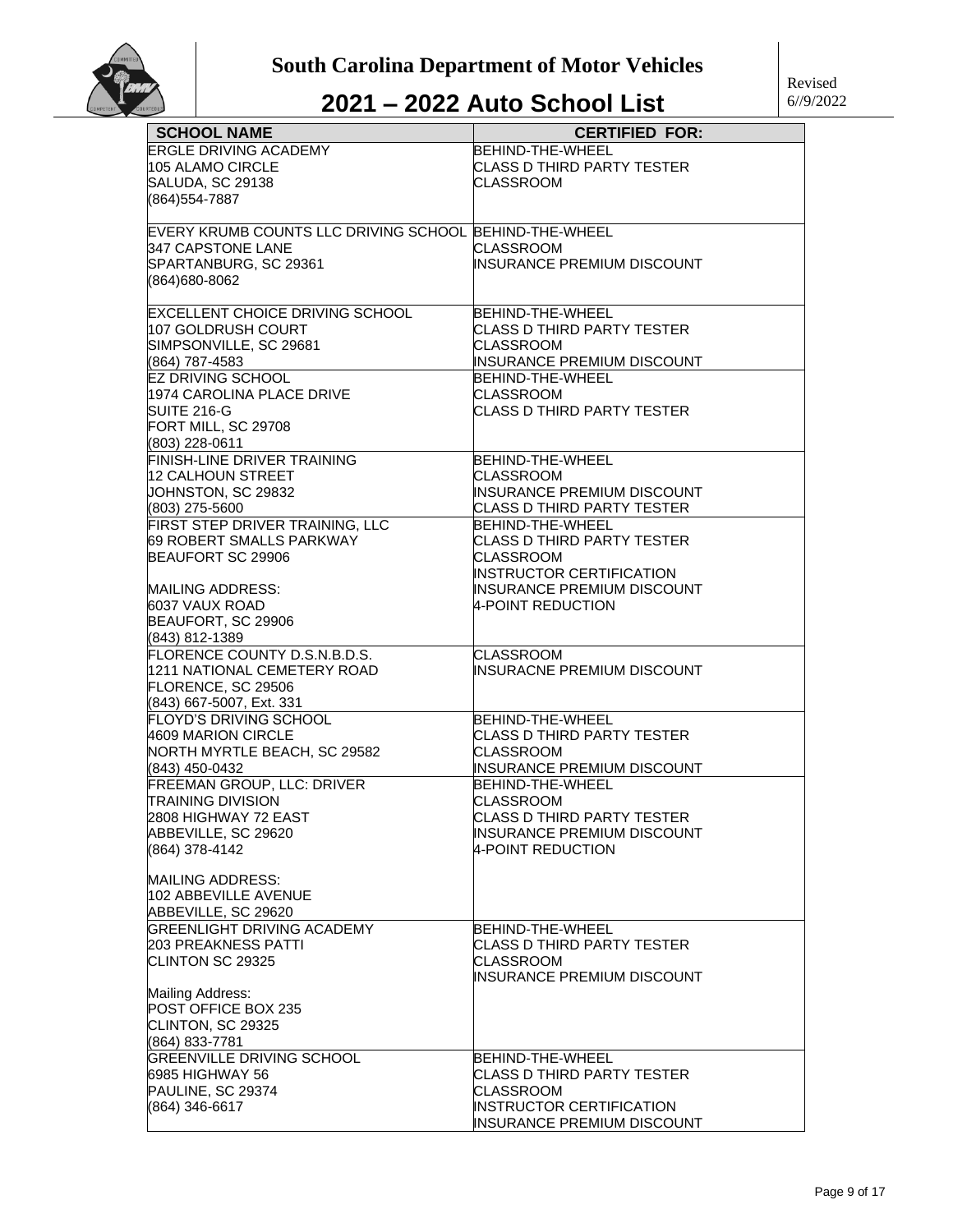

| <b>SCHOOL NAME</b>                                              | <b>CERTIFIED FOR:</b>                          |
|-----------------------------------------------------------------|------------------------------------------------|
| <b>ERGLE DRIVING ACADEMY</b>                                    | <b>BEHIND-THE-WHEEL</b>                        |
| 105 ALAMO CIRCLE                                                | CLASS D THIRD PARTY TESTER                     |
| SALUDA, SC 29138                                                | CLASSROOM                                      |
| (864) 554-7887                                                  |                                                |
|                                                                 |                                                |
| EVERY KRUMB COUNTS LLC DRIVING SCHOOL BEHIND-THE-WHEEL          |                                                |
| 347 CAPSTONE LANE                                               | CLASSROOM                                      |
| SPARTANBURG, SC 29361                                           | INSURANCE PREMIUM DISCOUNT                     |
| (864)680-8062                                                   |                                                |
|                                                                 |                                                |
| <b>EXCELLENT CHOICE DRIVING SCHOOL</b>                          | BEHIND-THE-WHEEL                               |
| 107 GOLDRUSH COURT                                              | CLASS D THIRD PARTY TESTER                     |
| SIMPSONVILLE, SC 29681                                          | <b>CLASSROOM</b>                               |
| (864) 787-4583                                                  | INSURANCE PREMIUM DISCOUNT                     |
| <b>EZ DRIVING SCHOOL</b>                                        | BEHIND-THE-WHEEL                               |
| 1974 CAROLINA PLACE DRIVE                                       | <b>CLASSROOM</b>                               |
| SUITE 216-G                                                     | CLASS D THIRD PARTY TESTER                     |
| FORT MILL, SC 29708                                             |                                                |
| (803) 228-0611                                                  |                                                |
| <b>FINISH-LINE DRIVER TRAINING</b>                              | <b>BEHIND-THE-WHEEL</b>                        |
| 12 CALHOUN STREET                                               | CLASSROOM                                      |
| JOHNSTON, SC 29832                                              | <b>INSURANCE PREMIUM DISCOUNT</b>              |
| (803) 275-5600                                                  | CLASS D THIRD PARTY TESTER                     |
| FIRST STEP DRIVER TRAINING, LLC                                 | BEHIND-THE-WHEEL                               |
| 69 ROBERT SMALLS PARKWAY                                        | CLASS D THIRD PARTY TESTER                     |
| BEAUFORT SC 29906                                               | <b>CLASSROOM</b>                               |
|                                                                 | INSTRUCTOR CERTIFICATION                       |
| <b>MAILING ADDRESS:</b>                                         | INSURANCE PREMIUM DISCOUNT                     |
| 6037 VAUX ROAD                                                  | 4-POINT REDUCTION                              |
| BEAUFORT, SC 29906                                              |                                                |
| (843) 812-1389                                                  |                                                |
| FLORENCE COUNTY D.S.N.B.D.S.                                    | <b>CLASSROOM</b>                               |
| 1211 NATIONAL CEMETERY ROAD                                     | INSURACNE PREMIUM DISCOUNT                     |
| FLORENCE, SC 29506                                              |                                                |
| (843) 667-5007, Ext. 331                                        |                                                |
| <b>FLOYD'S DRIVING SCHOOL</b>                                   | BEHIND-THE-WHEEL                               |
| 4609 MARION CIRCLE                                              | CLASS D THIRD PARTY TESTER                     |
| NORTH MYRTLE BEACH, SC 29582                                    | CLASSROOM                                      |
| (843) 450-0432                                                  | INSURANCE PREMIUM DISCOUNT                     |
| <b>FREEMAN GROUP, LLC: DRIVER</b>                               | BEHIND-THE-WHEEL                               |
| <b>TRAINING DIVISION</b>                                        | <b>CLASSROOM</b>                               |
| 2808 HIGHWAY 72 EAST                                            | <b>CLASS D THIRD PARTY TESTER</b>              |
| ABBEVILLE, SC 29620                                             | INSURANCE PREMIUM DISCOUNT                     |
| (864) 378-4142                                                  | 4-POINT REDUCTION                              |
|                                                                 |                                                |
| <b>MAILING ADDRESS:</b>                                         |                                                |
| 102 ABBEVILLE AVENUE                                            |                                                |
| ABBEVILLE, SC 29620                                             |                                                |
| <b>GREENLIGHT DRIVING ACADEMY</b><br><b>203 PREAKNESS PATTI</b> | BEHIND-THE-WHEEL                               |
|                                                                 | CLASS D THIRD PARTY TESTER                     |
| CLINTON SC 29325                                                | <b>CLASSROOM</b><br>INSURANCE PREMIUM DISCOUNT |
| <b>Mailing Address:</b>                                         |                                                |
| POST OFFICE BOX 235                                             |                                                |
|                                                                 |                                                |
| CLINTON, SC 29325                                               |                                                |
| (864) 833-7781                                                  |                                                |
| <b>GREENVILLE DRIVING SCHOOL</b>                                | BEHIND-THE-WHEEL                               |
| 6985 HIGHWAY 56                                                 | CLASS D THIRD PARTY TESTER                     |
| PAULINE, SC 29374                                               | CLASSROOM<br>INSTRUCTOR CERTIFICATION          |
| (864) 346-6617                                                  | INSURANCE PREMIUM DISCOUNT                     |
|                                                                 |                                                |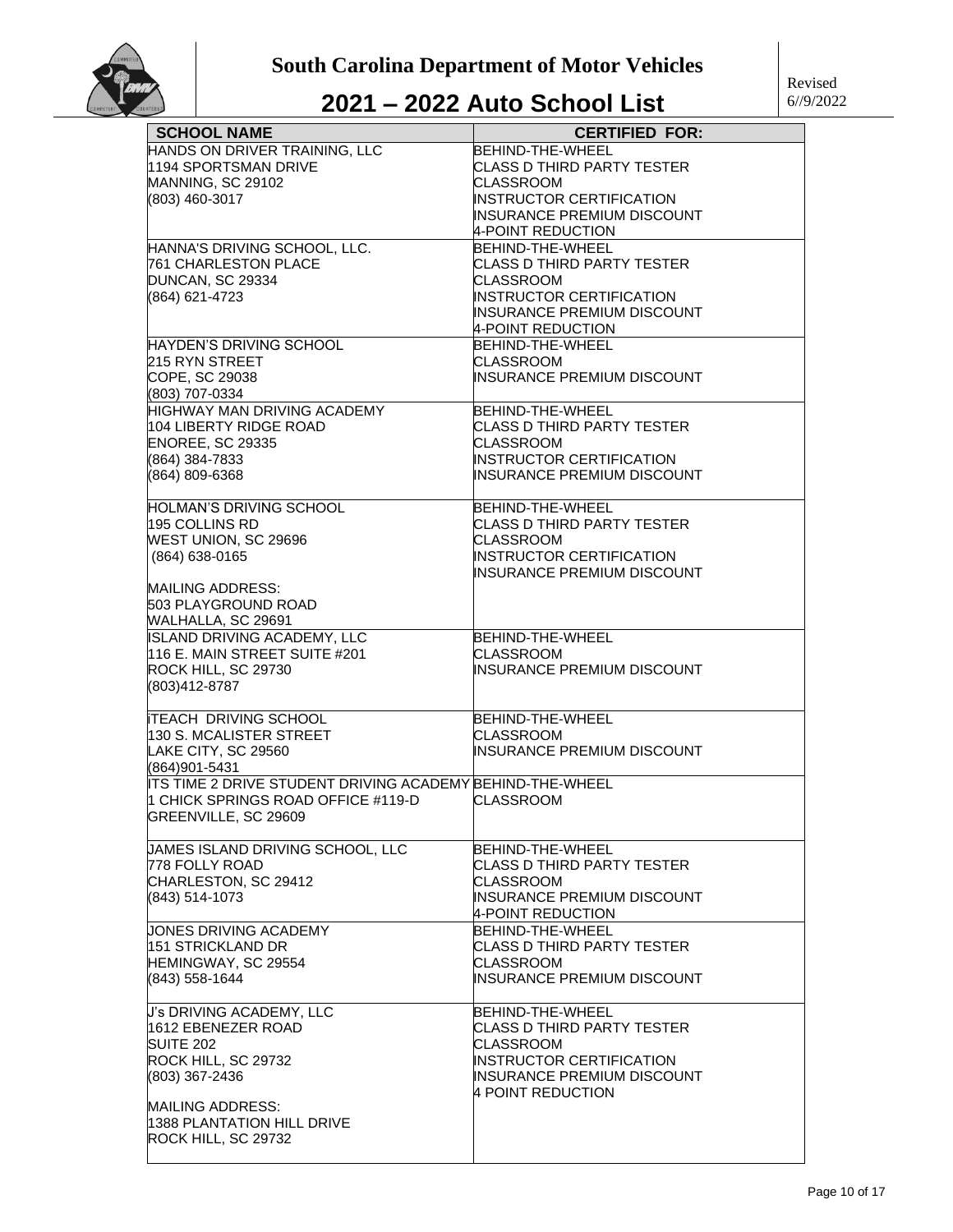| <b>SCHOOL NAME</b>                                        | <b>CERTIFIED FOR:</b>                                 |
|-----------------------------------------------------------|-------------------------------------------------------|
| HANDS ON DRIVER TRAINING, LLC                             | <b>BEHIND-THE-WHEEL</b>                               |
| 1194 SPORTSMAN DRIVE                                      | CLASS D THIRD PARTY TESTER                            |
| MANNING, SC 29102                                         | <b>CLASSROOM</b>                                      |
| (803) 460-3017                                            | INSTRUCTOR CERTIFICATION                              |
|                                                           | INSURANCE PREMIUM DISCOUNT                            |
|                                                           | 4-POINT REDUCTION                                     |
| HANNA'S DRIVING SCHOOL, LLC.                              | BEHIND-THE-WHEEL                                      |
| 761 CHARLESTON PLACE                                      | CLASS D THIRD PARTY TESTER                            |
| DUNCAN, SC 29334                                          | CLASSROOM                                             |
| (864) 621-4723                                            | INSTRUCTOR CERTIFICATION                              |
|                                                           | INSURANCE PREMIUM DISCOUNT                            |
|                                                           | 4-POINT REDUCTION                                     |
| HAYDEN'S DRIVING SCHOOL                                   | BEHIND-THE-WHEEL                                      |
| 215 RYN STREET                                            | <b>CLASSROOM</b>                                      |
| COPE, SC 29038                                            | INSURANCE PREMIUM DISCOUNT                            |
| (803) 707-0334                                            |                                                       |
| <b>HIGHWAY MAN DRIVING ACADEMY</b>                        | BEHIND-THE-WHEEL                                      |
| 104 LIBERTY RIDGE ROAD                                    | CLASS D THIRD PARTY TESTER                            |
| ENOREE, SC 29335                                          | <b>CLASSROOM</b>                                      |
| (864) 384-7833                                            | INSTRUCTOR CERTIFICATION                              |
| (864) 809-6368                                            | INSURANCE PREMIUM DISCOUNT                            |
|                                                           |                                                       |
| HOLMAN'S DRIVING SCHOOL<br>195 COLLINS RD                 | BEHIND-THE-WHEEL<br><b>CLASS D THIRD PARTY TESTER</b> |
|                                                           | <b>CLASSROOM</b>                                      |
| WEST UNION, SC 29696                                      | <b>INSTRUCTOR CERTIFICATION</b>                       |
| (864) 638-0165                                            | <b>INSURANCE PREMIUM DISCOUNT</b>                     |
| MAILING ADDRESS:                                          |                                                       |
| 503 PLAYGROUND ROAD                                       |                                                       |
| WALHALLA, SC 29691                                        |                                                       |
| <b>ISLAND DRIVING ACADEMY, LLC</b>                        | BEHIND-THE-WHEEL                                      |
| 116 E. MAIN STREET SUITE #201                             | CLASSROOM                                             |
| ROCK HILL, SC 29730                                       | INSURANCE PREMIUM DISCOUNT                            |
| (803)412-8787                                             |                                                       |
|                                                           |                                                       |
| <b>ITEACH DRIVING SCHOOL</b>                              | BEHIND-THE-WHEEL                                      |
| 130 S. MCALISTER STREET                                   | <b>CLASSROOM</b>                                      |
| LAKE CITY, SC 29560                                       | INSURANCE PREMIUM DISCOUNT                            |
| (864)901-5431                                             |                                                       |
| ITS TIME 2 DRIVE STUDENT DRIVING ACADEMY BEHIND-THE-WHEEL |                                                       |
| 1 CHICK SPRINGS ROAD OFFICE #119-D                        | <b>CLASSROOM</b>                                      |
| GREENVILLE, SC 29609                                      |                                                       |
|                                                           |                                                       |
| JAMES ISLAND DRIVING SCHOOL, LLC                          | BEHIND-THE-WHEEL                                      |
| 778 FOLLY ROAD                                            | CLASS D THIRD PARTY TESTER                            |
| CHARLESTON, SC 29412                                      | CLASSROOM                                             |
| (843) 514-1073                                            | INSURANCE PREMIUM DISCOUNT                            |
|                                                           | 4-POINT REDUCTION                                     |
| JONES DRIVING ACADEMY                                     | BEHIND-THE-WHEEL                                      |
| 151 STRICKLAND DR                                         | CLASS D THIRD PARTY TESTER                            |
| HEMINGWAY, SC 29554                                       | CLASSROOM                                             |
| (843) 558-1644                                            | INSURANCE PREMIUM DISCOUNT                            |
| J's DRIVING ACADEMY, LLC                                  | BEHIND-THE-WHEEL                                      |
| 1612 EBENEZER ROAD                                        | CLASS D THIRD PARTY TESTER                            |
| <b>SUITE 202</b>                                          | CLASSROOM                                             |
| ROCK HILL, SC 29732                                       | INSTRUCTOR CERTIFICATION                              |
| (803) 367-2436                                            | INSURANCE PREMIUM DISCOUNT                            |
|                                                           | 4 POINT REDUCTION                                     |
| MAILING ADDRESS:                                          |                                                       |
| 1388 PLANTATION HILL DRIVE                                |                                                       |
| ROCK HILL, SC 29732                                       |                                                       |
|                                                           |                                                       |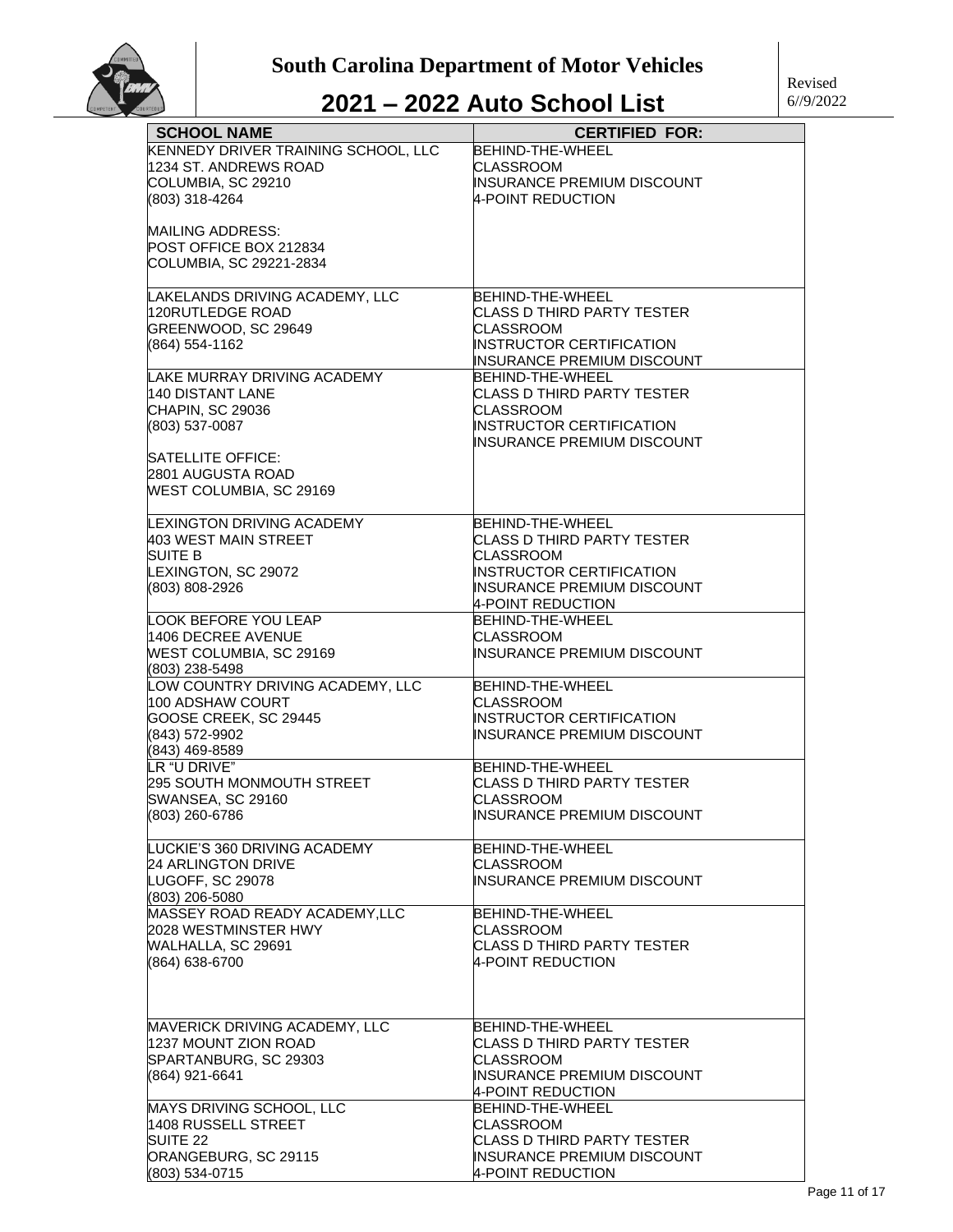

| <b>SCHOOL NAME</b>                                 | <b>CERTIFIED FOR:</b>                          |
|----------------------------------------------------|------------------------------------------------|
| KENNEDY DRIVER TRAINING SCHOOL, LLC                | <b>BEHIND-THE-WHEEL</b>                        |
| 1234 ST. ANDREWS ROAD                              | CLASSROOM                                      |
| COLUMBIA, SC 29210                                 | INSURANCE PREMIUM DISCOUNT                     |
| (803) 318-4264                                     | 4-POINT REDUCTION                              |
|                                                    |                                                |
| <b>MAILING ADDRESS:</b>                            |                                                |
| POST OFFICE BOX 212834                             |                                                |
| COLUMBIA, SC 29221-2834                            |                                                |
|                                                    |                                                |
| LAKELANDS DRIVING ACADEMY, LLC                     | BEHIND-THE-WHEEL                               |
| 120RUTLEDGE ROAD                                   | CLASS D THIRD PARTY TESTER                     |
| GREENWOOD, SC 29649                                | CLASSROOM                                      |
| (864) 554-1162                                     | INSTRUCTOR CERTIFICATION                       |
|                                                    | INSURANCE PREMIUM DISCOUNT                     |
| LAKE MURRAY DRIVING ACADEMY                        | BEHIND-THE-WHEEL                               |
| 140 DISTANT LANE                                   | CLASS D THIRD PARTY TESTER                     |
| CHAPIN, SC 29036                                   | CLASSROOM                                      |
| (803) 537-0087                                     | INSTRUCTOR CERTIFICATION                       |
|                                                    | INSURANCE PREMIUM DISCOUNT                     |
| SATELLITE OFFICE:                                  |                                                |
| 2801 AUGUSTA ROAD                                  |                                                |
| <b>WEST COLUMBIA, SC 29169</b>                     |                                                |
|                                                    |                                                |
| LEXINGTON DRIVING ACADEMY                          | BEHIND-THE-WHEEL                               |
| 403 WEST MAIN STREET                               | CLASS D THIRD PARTY TESTER                     |
| <b>SUITE B</b>                                     | <b>CLASSROOM</b>                               |
| LEXINGTON, SC 29072                                | INSTRUCTOR CERTIFICATION                       |
| (803) 808-2926                                     | INSURANCE PREMIUM DISCOUNT                     |
|                                                    | 4-POINT REDUCTION                              |
| LOOK BEFORE YOU LEAP                               | BEHIND-THE-WHEEL                               |
|                                                    |                                                |
| 1406 DECREE AVENUE                                 | CLASSROOM                                      |
| WEST COLUMBIA, SC 29169                            | INSURANCE PREMIUM DISCOUNT                     |
| (803) 238-5498<br>LOW COUNTRY DRIVING ACADEMY, LLC | BEHIND-THE-WHEEL                               |
| 100 ADSHAW COURT                                   |                                                |
|                                                    | CLASSROOM                                      |
| GOOSE CREEK, SC 29445                              | <b>INSTRUCTOR CERTIFICATION</b>                |
| (843) 572-9902                                     | INSURANCE PREMIUM DISCOUNT                     |
| (843) 469-8589<br>LR "U DRIVE"                     |                                                |
|                                                    | <b>BEHIND-THE-WHEEL</b>                        |
| 295 SOUTH MONMOUTH STREET                          | CLASS D THIRD PARTY TESTER<br><b>CLASSROOM</b> |
| SWANSEA, SC 29160                                  |                                                |
| (803) 260-6786                                     | INSURANCE PREMIUM DISCOUNT                     |
| LUCKIE'S 360 DRIVING ACADEMY                       | BEHIND-THE-WHEEL                               |
| <b>24 ARLINGTON DRIVE</b>                          | <b>CLASSROOM</b>                               |
| LUGOFF, SC 29078                                   | INSURANCE PREMIUM DISCOUNT                     |
|                                                    |                                                |
| (803) 206-5080<br>MASSEY ROAD READY ACADEMY, LLC   | BEHIND-THE-WHEEL                               |
| 2028 WESTMINSTER HWY                               | <b>CLASSROOM</b>                               |
|                                                    |                                                |
| WALHALLA, SC 29691                                 | CLASS D THIRD PARTY TESTER                     |
| (864) 638-6700                                     | 4-POINT REDUCTION                              |
|                                                    |                                                |
|                                                    |                                                |
|                                                    |                                                |
| MAVERICK DRIVING ACADEMY, LLC                      | BEHIND-THE-WHEEL                               |
| 1237 MOUNT ZION ROAD                               | CLASS D THIRD PARTY TESTER                     |
| SPARTANBURG, SC 29303                              | CLASSROOM                                      |
| (864) 921-6641                                     | INSURANCE PREMIUM DISCOUNT                     |
|                                                    | 4-POINT REDUCTION                              |
| MAYS DRIVING SCHOOL, LLC<br>1408 RUSSELL STREET    | BEHIND-THE-WHEEL<br><b>CLASSROOM</b>           |
| SUITE 22                                           | CLASS D THIRD PARTY TESTER                     |
| ORANGEBURG, SC 29115                               | INSURANCE PREMIUM DISCOUNT                     |
| (803) 534-0715                                     | 4-POINT REDUCTION                              |
|                                                    |                                                |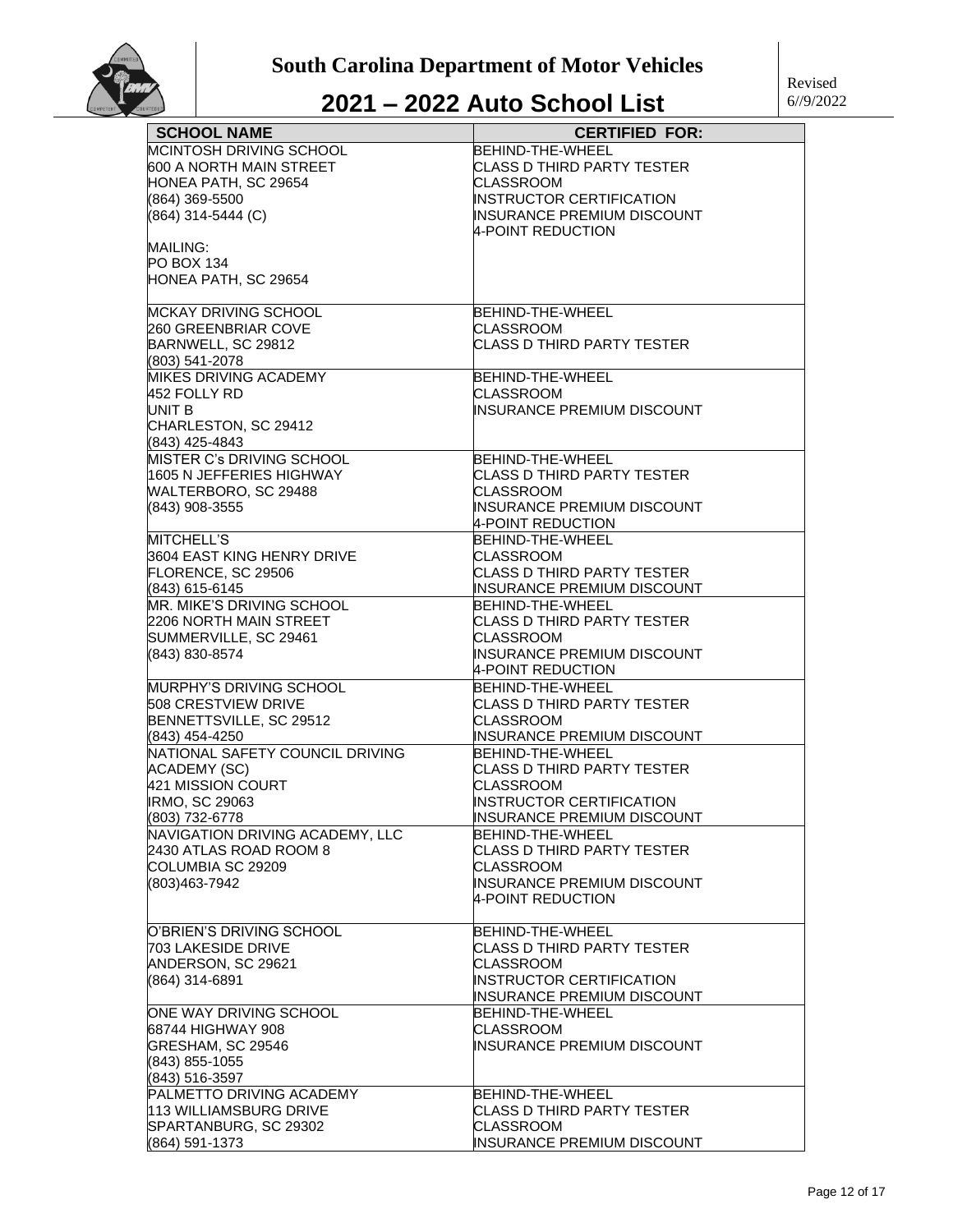| <b>SCHOOL NAME</b>                          | <b>CERTIFIED FOR:</b>             |
|---------------------------------------------|-----------------------------------|
| MCINTOSH DRIVING SCHOOL                     | BEHIND-THE-WHEEL                  |
| 600 A NORTH MAIN STREET                     | CLASS D THIRD PARTY TESTER        |
| HONEA PATH, SC 29654                        | <b>CLASSROOM</b>                  |
| (864) 369-5500                              | INSTRUCTOR CERTIFICATION          |
| (864) 314-5444 (C)                          | <b>INSURANCE PREMIUM DISCOUNT</b> |
|                                             | 4-POINT REDUCTION                 |
| MAILING:                                    |                                   |
| <b>PO BOX 134</b>                           |                                   |
| HONEA PATH, SC 29654                        |                                   |
|                                             |                                   |
| MCKAY DRIVING SCHOOL                        | BEHIND-THE-WHEEL                  |
| 260 GREENBRIAR COVE                         | CLASSROOM                         |
| BARNWELL, SC 29812                          | CLASS D THIRD PARTY TESTER        |
| (803) 541-2078                              |                                   |
| MIKES DRIVING ACADEMY                       | BEHIND-THE-WHEEL                  |
| 452 FOLLY RD                                | CLASSROOM                         |
| UNIT B                                      | <b>INSURANCE PREMIUM DISCOUNT</b> |
| CHARLESTON, SC 29412                        |                                   |
|                                             |                                   |
| (843) 425-4843<br>MISTER C's DRIVING SCHOOL | BEHIND-THE-WHEEL                  |
|                                             |                                   |
| 1605 N JEFFERIES HIGHWAY                    | <b>CLASS D THIRD PARTY TESTER</b> |
| WALTERBORO, SC 29488                        | CLASSROOM                         |
| (843) 908-3555                              | <b>INSURANCE PREMIUM DISCOUNT</b> |
|                                             | 4-POINT REDUCTION                 |
| MITCHELL'S                                  | BEHIND-THE-WHEEL                  |
| 3604 EAST KING HENRY DRIVE                  | <b>CLASSROOM</b>                  |
| FLORENCE, SC 29506                          | CLASS D THIRD PARTY TESTER        |
| (843) 615-6145                              | <b>INSURANCE PREMIUM DISCOUNT</b> |
| MR. MIKE'S DRIVING SCHOOL                   | BEHIND-THE-WHEEL                  |
| 2206 NORTH MAIN STREET                      | CLASS D THIRD PARTY TESTER        |
| SUMMERVILLE, SC 29461                       | CLASSROOM                         |
| (843) 830-8574                              | <b>INSURANCE PREMIUM DISCOUNT</b> |
|                                             | 4-POINT REDUCTION                 |
| MURPHY'S DRIVING SCHOOL                     | BEHIND-THE-WHEEL                  |
| <b>508 CRESTVIEW DRIVE</b>                  | <b>CLASS D THIRD PARTY TESTER</b> |
| BENNETTSVILLE, SC 29512                     | CLASSROOM                         |
| (843) 454-4250                              | INSURANCE PREMIUM DISCOUNT        |
| NATIONAL SAFETY COUNCIL DRIVING             | BEHIND-THE-WHEEL                  |
| <b>ACADEMY (SC)</b>                         | CLASS D THIRD PARTY TESTER        |
| 421 MISSION COURT                           | CLASSROOM                         |
| <b>IRMO, SC 29063</b>                       | INSTRUCTOR CERTIFICATION          |
| (803) 732-6778                              | INSURANCE PREMIUM DISCOUNT        |
| NAVIGATION DRIVING ACADEMY, LLC             | <b>BEHIND-THE-WHEEL</b>           |
| 2430 ATLAS ROAD ROOM 8                      | CLASS D THIRD PARTY TESTER        |
| COLUMBIA SC 29209                           | <b>CLASSROOM</b>                  |
| (803)463-7942                               | <b>INSURANCE PREMIUM DISCOUNT</b> |
|                                             | 4-POINT REDUCTION                 |
|                                             |                                   |
| O'BRIEN'S DRIVING SCHOOL                    | BEHIND-THE-WHEEL                  |
| 703 LAKESIDE DRIVE                          | CLASS D THIRD PARTY TESTER        |
| ANDERSON, SC 29621                          | <b>CLASSROOM</b>                  |
| (864) 314-6891                              | <b>INSTRUCTOR CERTIFICATION</b>   |
|                                             | <b>INSURANCE PREMIUM DISCOUNT</b> |
| ONE WAY DRIVING SCHOOL                      | <b>BEHIND-THE-WHEEL</b>           |
| 68744 HIGHWAY 908                           | CLASSROOM                         |
| GRESHAM, SC 29546                           | <b>INSURANCE PREMIUM DISCOUNT</b> |
| (843) 855-1055                              |                                   |
| (843) 516-3597                              |                                   |
| PALMETTO DRIVING ACADEMY                    | BEHIND-THE-WHEEL                  |
| 113 WILLIAMSBURG DRIVE                      | <b>CLASS D THIRD PARTY TESTER</b> |
| SPARTANBURG, SC 29302                       | <b>CLASSROOM</b>                  |
| (864) 591-1373                              | INSURANCE PREMIUM DISCOUNT        |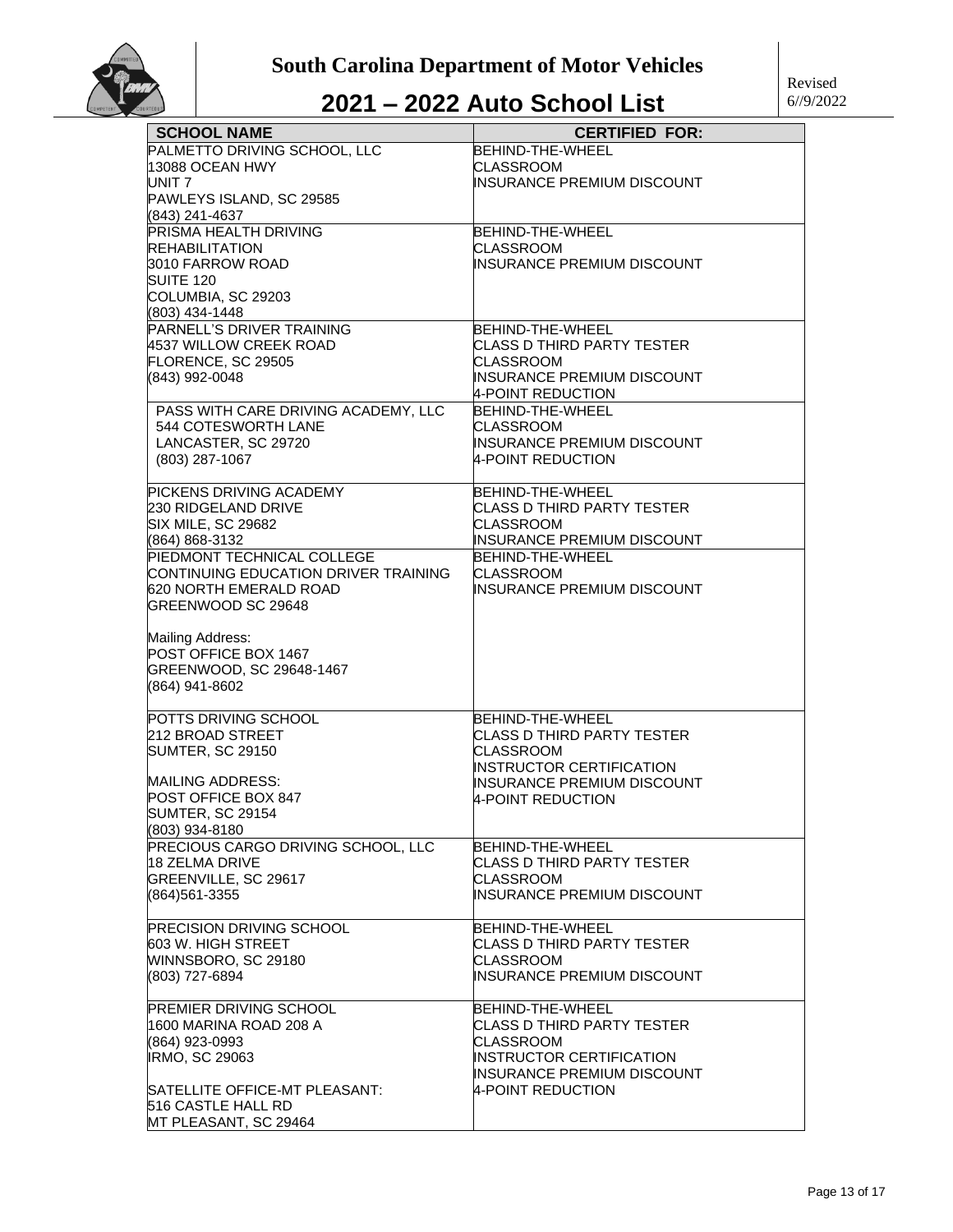

| <b>SCHOOL NAME</b>                                  | <b>CERTIFIED FOR:</b>                           |
|-----------------------------------------------------|-------------------------------------------------|
| PALMETTO DRIVING SCHOOL, LLC                        | <b>BEHIND-THE-WHEEL</b>                         |
| 13088 OCEAN HWY                                     | <b>CLASSROOM</b>                                |
| UNIT 7                                              | INSURANCE PREMIUM DISCOUNT                      |
| PAWLEYS ISLAND, SC 29585                            |                                                 |
| (843) 241-4637                                      |                                                 |
| PRISMA HEALTH DRIVING                               | BEHIND-THE-WHEEL                                |
| <b>REHABILITATION</b>                               | <b>CLASSROOM</b>                                |
| 3010 FARROW ROAD                                    | INSURANCE PREMIUM DISCOUNT                      |
| SUITE 120                                           |                                                 |
| COLUMBIA, SC 29203                                  |                                                 |
| (803) 434-1448                                      |                                                 |
| PARNELL'S DRIVER TRAINING                           | BEHIND-THE-WHEEL                                |
| 4537 WILLOW CREEK ROAD                              | CLASS D THIRD PARTY TESTER                      |
| FLORENCE, SC 29505                                  | <b>CLASSROOM</b>                                |
| (843) 992-0048                                      | INSURANCE PREMIUM DISCOUNT                      |
|                                                     | 4-POINT REDUCTION                               |
| PASS WITH CARE DRIVING ACADEMY, LLC                 | <b>BEHIND-THE-WHEEL</b>                         |
| 544 COTESWORTH LANE                                 | <b>CLASSROOM</b>                                |
| LANCASTER, SC 29720                                 | <b>INSURANCE PREMIUM DISCOUNT</b>               |
|                                                     |                                                 |
| (803) 287-1067                                      | 4-POINT REDUCTION                               |
| PICKENS DRIVING ACADEMY                             | BEHIND-THE-WHEEL                                |
|                                                     |                                                 |
| <b>230 RIDGELAND DRIVE</b>                          | CLASS D THIRD PARTY TESTER                      |
| SIX MILE, SC 29682                                  | <b>CLASSROOM</b>                                |
| (864) 868-3132                                      | INSURANCE PREMIUM DISCOUNT                      |
| PIEDMONT TECHNICAL COLLEGE                          | BEHIND-THE-WHEEL                                |
| CONTINUING EDUCATION DRIVER TRAINING                | <b>CLASSROOM</b>                                |
| 620 NORTH EMERALD ROAD                              | INSURANCE PREMIUM DISCOUNT                      |
| GREENWOOD SC 29648                                  |                                                 |
|                                                     |                                                 |
| Mailing Address:                                    |                                                 |
| POST OFFICE BOX 1467                                |                                                 |
| GREENWOOD, SC 29648-1467                            |                                                 |
| (864) 941-8602                                      |                                                 |
|                                                     | BEHIND-THE-WHEEL                                |
| POTTS DRIVING SCHOOL<br>212 BROAD STREET            | CLASS D THIRD PARTY TESTER                      |
|                                                     |                                                 |
| <b>SUMTER, SC 29150</b>                             | <b>CLASSROOM</b>                                |
| <b>MAILING ADDRESS:</b>                             | INSTRUCTOR CERTIFICATION                        |
| POST OFFICE BOX 847                                 | <b>INSURANCE PREMIUM DISCOUNT</b>               |
| <b>SUMTER, SC 29154</b>                             | <b>4-POINT REDUCTION</b>                        |
| (803) 934-8180                                      |                                                 |
| PRECIOUS CARGO DRIVING SCHOOL, LLC                  |                                                 |
|                                                     | BEHIND-THE-WHEEL                                |
| 18 ZELMA DRIVE                                      | CLASS D THIRD PARTY TESTER                      |
| GREENVILLE, SC 29617                                | <b>CLASSROOM</b>                                |
| (864)561-3355                                       | INSURANCE PREMIUM DISCOUNT                      |
|                                                     |                                                 |
| <b>PRECISION DRIVING SCHOOL</b>                     | <b>BEHIND-THE-WHEEL</b>                         |
| 603 W. HIGH STREET                                  | CLASS D THIRD PARTY TESTER                      |
| WINNSBORO, SC 29180                                 | <b>CLASSROOM</b>                                |
| (803) 727-6894                                      | INSURANCE PREMIUM DISCOUNT                      |
| PREMIER DRIVING SCHOOL                              | BEHIND-THE-WHEEL                                |
| 1600 MARINA ROAD 208 A                              | CLASS D THIRD PARTY TESTER                      |
| (864) 923-0993                                      | <b>CLASSROOM</b>                                |
|                                                     | INSTRUCTOR CERTIFICATION                        |
| <b>IRMO, SC 29063</b>                               |                                                 |
|                                                     | INSURANCE PREMIUM DISCOUNT<br>4-POINT REDUCTION |
| SATELLITE OFFICE-MT PLEASANT:<br>516 CASTLE HALL RD |                                                 |
|                                                     |                                                 |
| MT PLEASANT, SC 29464                               |                                                 |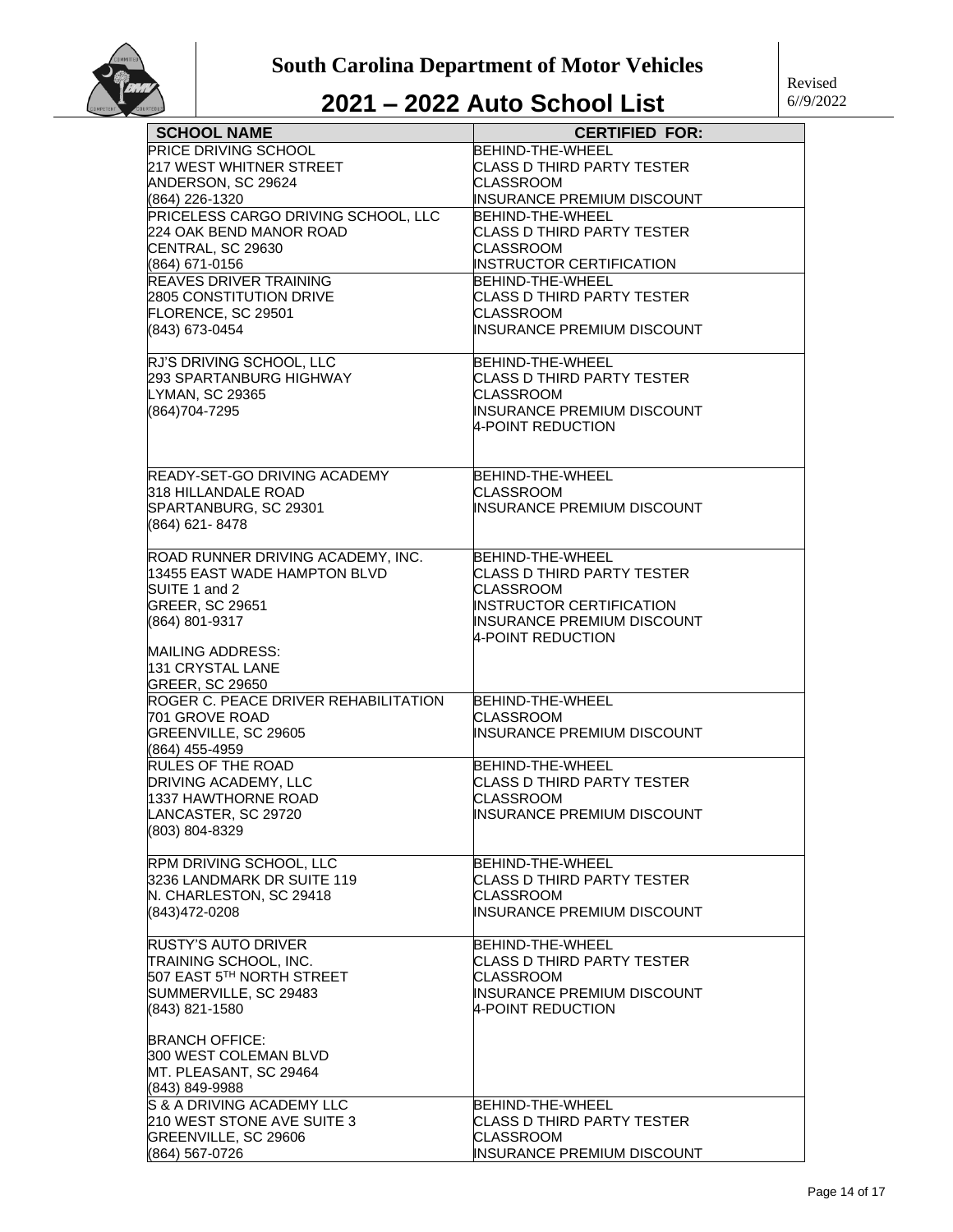

| <b>SCHOOL NAME</b>                            | <b>CERTIFIED FOR:</b>                                         |
|-----------------------------------------------|---------------------------------------------------------------|
| PRICE DRIVING SCHOOL                          | BEHIND-THE-WHEEL                                              |
| 217 WEST WHITNER STREET                       | CLASS D THIRD PARTY TESTER                                    |
| ANDERSON, SC 29624                            | CLASSROOM                                                     |
| (864) 226-1320                                | <b>INSURANCE PREMIUM DISCOUNT</b>                             |
| PRICELESS CARGO DRIVING SCHOOL, LLC           | BEHIND-THE-WHEEL                                              |
| 224 OAK BEND MANOR ROAD                       | CLASS D THIRD PARTY TESTER                                    |
| CENTRAL, SC 29630                             | CLASSROOM                                                     |
| (864) 671-0156                                | <b>INSTRUCTOR CERTIFICATION</b>                               |
| REAVES DRIVER TRAINING                        | BEHIND-THE-WHEEL                                              |
| 2805 CONSTITUTION DRIVE                       | CLASS D THIRD PARTY TESTER                                    |
| FLORENCE, SC 29501                            | <b>CLASSROOM</b>                                              |
| (843) 673-0454                                | <b>INSURANCE PREMIUM DISCOUNT</b>                             |
| RJ'S DRIVING SCHOOL, LLC                      | BEHIND-THE-WHEEL                                              |
| 293 SPARTANBURG HIGHWAY                       | CLASS D THIRD PARTY TESTER                                    |
| <b>LYMAN, SC 29365</b>                        | CLASSROOM                                                     |
| (864)704-7295                                 | <b>INSURANCE PREMIUM DISCOUNT</b>                             |
|                                               | 4-POINT REDUCTION                                             |
|                                               |                                                               |
|                                               |                                                               |
| READY-SET-GO DRIVING ACADEMY                  | BEHIND-THE-WHEEL                                              |
| 318 HILLANDALE ROAD                           | CLASSROOM                                                     |
| SPARTANBURG, SC 29301                         | INSURANCE PREMIUM DISCOUNT                                    |
| (864) 621-8478                                |                                                               |
|                                               |                                                               |
| ROAD RUNNER DRIVING ACADEMY, INC.             | BEHIND-THE-WHEEL                                              |
| 13455 EAST WADE HAMPTON BLVD<br>SUITE 1 and 2 | CLASS D THIRD PARTY TESTER<br>CLASSROOM                       |
| GREER, SC 29651                               |                                                               |
| (864) 801-9317                                | <b>INSTRUCTOR CERTIFICATION</b><br>INSURANCE PREMIUM DISCOUNT |
|                                               | 4-POINT REDUCTION                                             |
| <b>MAILING ADDRESS:</b>                       |                                                               |
| 131 CRYSTAL LANE                              |                                                               |
| GREER, SC 29650                               |                                                               |
| ROGER C. PEACE DRIVER REHABILITATION          | BEHIND-THE-WHEEL                                              |
| 701 GROVE ROAD                                | CLASSROOM                                                     |
| GREENVILLE, SC 29605                          | <b>INSURANCE PREMIUM DISCOUNT</b>                             |
| (864) 455-4959                                |                                                               |
| <b>RULES OF THE ROAD</b>                      | BEHIND-THE-WHEEL                                              |
| DRIVING ACADEMY, LLC                          | CLASS D THIRD PARTY TESTER                                    |
| 1337 HAWTHORNE ROAD                           | <b>CLASSROOM</b>                                              |
| LANCASTER. SC 29720                           | IINSURANCE PREMIUM DISCOUNT                                   |
| (803) 804-8329                                |                                                               |
| RPM DRIVING SCHOOL, LLC                       | BEHIND-THE-WHEEL                                              |
| 3236 LANDMARK DR SUITE 119                    | CLASS D THIRD PARTY TESTER                                    |
| N. CHARLESTON, SC 29418                       | CLASSROOM                                                     |
| (843)472-0208                                 | INSURANCE PREMIUM DISCOUNT                                    |
|                                               |                                                               |
| <b>RUSTY'S AUTO DRIVER</b>                    | BEHIND-THE-WHEEL                                              |
| TRAINING SCHOOL, INC.                         | <b>CLASS D THIRD PARTY TESTER</b>                             |
| 507 EAST 5TH NORTH STREET                     | CLASSROOM                                                     |
| SUMMERVILLE, SC 29483                         | INSURANCE PREMIUM DISCOUNT                                    |
| (843) 821-1580                                | 4-POINT REDUCTION                                             |
| <b>BRANCH OFFICE:</b>                         |                                                               |
| 300 WEST COLEMAN BLVD                         |                                                               |
| MT. PLEASANT, SC 29464                        |                                                               |
| (843) 849-9988                                |                                                               |
| S & A DRIVING ACADEMY LLC                     | BEHIND-THE-WHEEL                                              |
| 210 WEST STONE AVE SUITE 3                    | <b>CLASS D THIRD PARTY TESTER</b>                             |
| GREENVILLE, SC 29606                          | CLASSROOM                                                     |
|                                               |                                                               |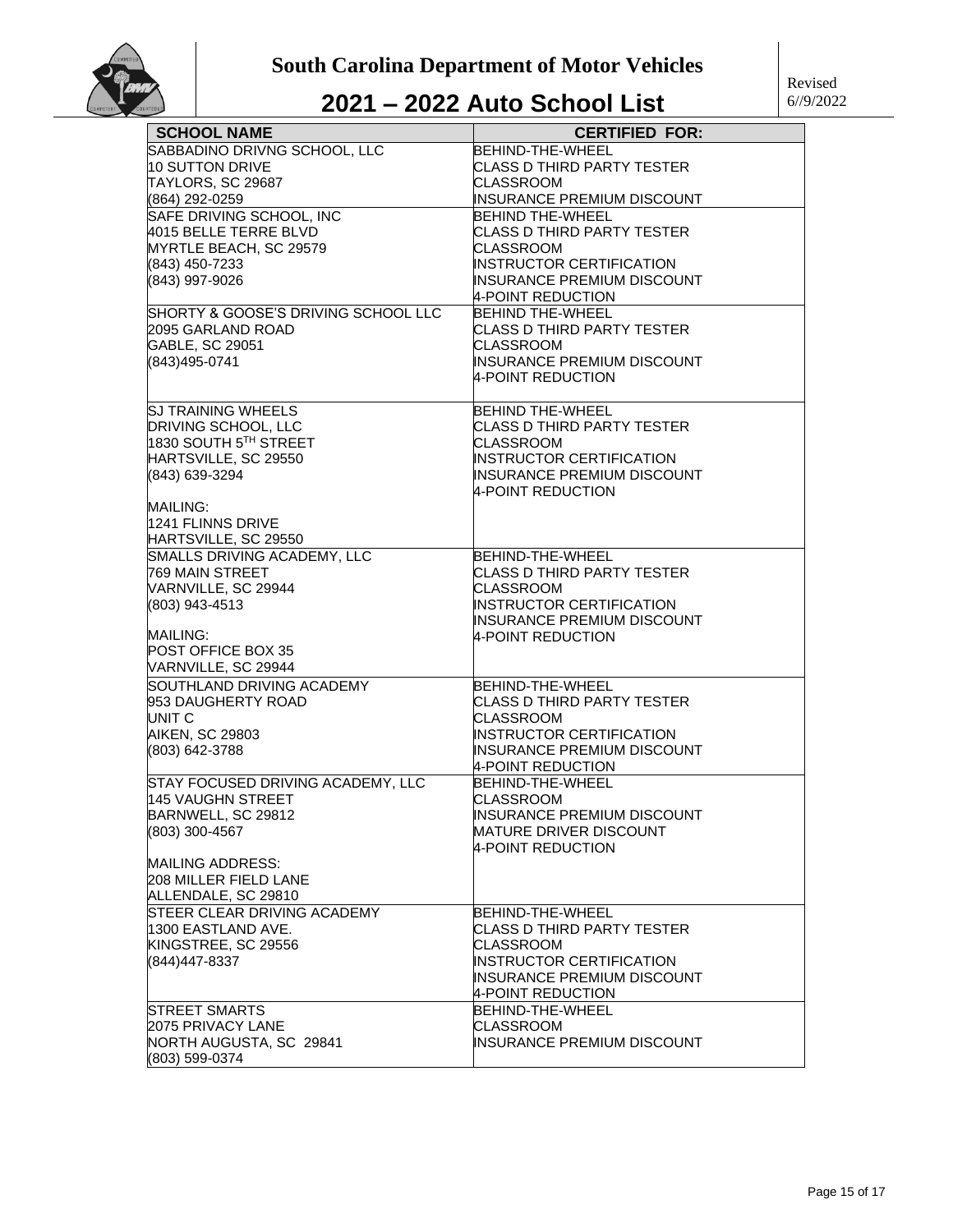

#### Revised 6//9/2022

| <b>SCHOOL NAME</b>                    | <b>CERTIFIED FOR:</b>                                 |
|---------------------------------------|-------------------------------------------------------|
| SABBADINO DRIVNG SCHOOL, LLC          | BEHIND-THE-WHEEL                                      |
| 10 SUTTON DRIVE                       | <b>CLASS D THIRD PARTY TESTER</b>                     |
| TAYLORS, SC 29687                     | <b>CLASSROOM</b>                                      |
| (864) 292-0259                        | <b>INSURANCE PREMIUM DISCOUNT</b>                     |
| SAFE DRIVING SCHOOL, INC              | <b>BEHIND THE-WHEEL</b>                               |
| 4015 BELLE TERRE BLVD                 | <b>CLASS D THIRD PARTY TESTER</b>                     |
| MYRTLE BEACH, SC 29579                | CLASSROOM                                             |
| (843) 450-7233                        | <b>INSTRUCTOR CERTIFICATION</b>                       |
| (843) 997-9026                        | INSURANCE PREMIUM DISCOUNT                            |
| SHORTY & GOOSE'S DRIVING SCHOOL LLC   | 4-POINT REDUCTION                                     |
| 2095 GARLAND ROAD                     | <b>BEHIND THE-WHEEL</b><br>CLASS D THIRD PARTY TESTER |
| GABLE, SC 29051                       | CLASSROOM                                             |
| (843)495-0741                         | INSURANCE PREMIUM DISCOUNT                            |
|                                       | 4-POINT REDUCTION                                     |
|                                       |                                                       |
| <b>SJ TRAINING WHEELS</b>             | <b>BEHIND THE-WHEEL</b>                               |
| <b>DRIVING SCHOOL, LLC</b>            | CLASS D THIRD PARTY TESTER                            |
| 1830 SOUTH 5™ STREET                  | <b>CLASSROOM</b>                                      |
| HARTSVILLE, SC 29550                  | INSTRUCTOR CERTIFICATION                              |
| (843) 639-3294                        | INSURANCE PREMIUM DISCOUNT                            |
|                                       | 4-POINT REDUCTION                                     |
| <b>MAILING:</b>                       |                                                       |
| 1241 FLINNS DRIVE                     |                                                       |
| HARTSVILLE, SC 29550                  |                                                       |
| SMALLS DRIVING ACADEMY, LLC           | BEHIND-THE-WHEEL                                      |
| 769 MAIN STREET                       | CLASS D THIRD PARTY TESTER                            |
| VARNVILLE, SC 29944<br>(803) 943-4513 | <b>CLASSROOM</b><br>INSTRUCTOR CERTIFICATION          |
|                                       | <b>INSURANCE PREMIUM DISCOUNT</b>                     |
| MAILING:                              | 4-POINT REDUCTION                                     |
| POST OFFICE BOX 35                    |                                                       |
| VARNVILLE, SC 29944                   |                                                       |
| SOUTHLAND DRIVING ACADEMY             | BEHIND-THE-WHEEL                                      |
| 953 DAUGHERTY ROAD                    | CLASS D THIRD PARTY TESTER                            |
| UNIT C                                | CLASSROOM                                             |
| <b>AIKEN, SC 29803</b>                | INSTRUCTOR CERTIFICATION                              |
| (803) 642-3788                        | INSURANCE PREMIUM DISCOUNT                            |
|                                       | 4-POINT REDUCTION                                     |
| STAY FOCUSED DRIVING ACADEMY, LLC     | BEHIND-THE-WHEEL                                      |
| <b>145 VAUGHN STREET</b>              | <b>CLASSROOM</b>                                      |
| BARNWELL, SC 29812                    | INSURANCE PREMIUM DISCOUNT                            |
| (803) 300-4567                        | MATURE DRIVER DISCOUNT<br>4-POINT REDUCTION           |
| MAILING ADDRESS:                      |                                                       |
| 208 MILLER FIELD LANE                 |                                                       |
| ALLENDALE, SC 29810                   |                                                       |
| STEER CLEAR DRIVING ACADEMY           | BEHIND-THE-WHEEL                                      |
| 1300 EASTLAND AVE.                    | CLASS D THIRD PARTY TESTER                            |
| KINGSTREE, SC 29556                   | <b>CLASSROOM</b>                                      |
| (844)447-8337                         | <b>INSTRUCTOR CERTIFICATION</b>                       |
|                                       | INSURANCE PREMIUM DISCOUNT                            |
|                                       | 4-POINT REDUCTION                                     |
| STREET SMARTS                         | BEHIND-THE-WHEEL                                      |
| 2075 PRIVACY LANE                     | CLASSROOM                                             |
| NORTH AUGUSTA, SC 29841               | INSURANCE PREMIUM DISCOUNT                            |
| (803) 599-0374                        |                                                       |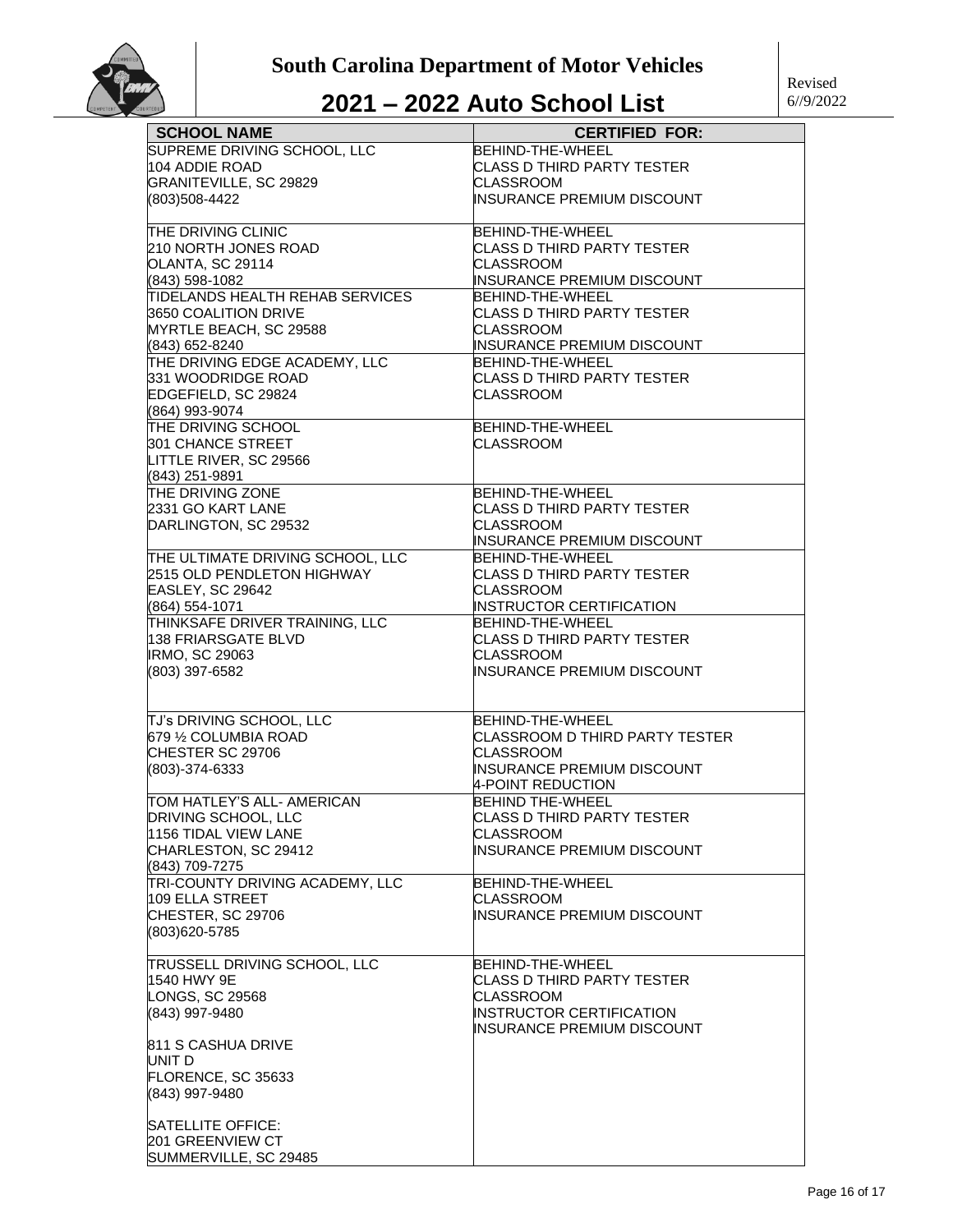

| <b>SCHOOL NAME</b>                          | <b>CERTIFIED FOR:</b>                                  |
|---------------------------------------------|--------------------------------------------------------|
| SUPREME DRIVING SCHOOL, LLC                 | BEHIND-THE-WHEEL                                       |
| 104 ADDIE ROAD                              | CLASS D THIRD PARTY TESTER                             |
| GRANITEVILLE, SC 29829                      | <b>CLASSROOM</b>                                       |
|                                             | INSURANCE PREMIUM DISCOUNT                             |
| (803)508-4422                               |                                                        |
| THE DRIVING CLINIC                          | BEHIND-THE-WHEEL                                       |
| 210 NORTH JONES ROAD                        | <b>CLASS D THIRD PARTY TESTER</b>                      |
| OLANTA, SC 29114                            | CLASSROOM                                              |
| (843) 598-1082                              | INSURANCE PREMIUM DISCOUNT                             |
| TIDELANDS HEALTH REHAB SERVICES             | BEHIND-THE-WHEEL                                       |
| 3650 COALITION DRIVE                        | <b>CLASS D THIRD PARTY TESTER</b>                      |
| MYRTLE BEACH, SC 29588                      | <b>CLASSROOM</b>                                       |
| (843) 652-8240                              | INSURANCE PREMIUM DISCOUNT                             |
| THE DRIVING EDGE ACADEMY, LLC               | <b>BEHIND-THE-WHEEL</b>                                |
| 331 WOODRIDGE ROAD                          | CLASS D THIRD PARTY TESTER                             |
| EDGEFIELD, SC 29824                         | <b>CLASSROOM</b>                                       |
| (864) 993-9074                              |                                                        |
| THE DRIVING SCHOOL                          | <b>BEHIND-THE-WHEEL</b>                                |
| 301 CHANCE STREET                           | <b>CLASSROOM</b>                                       |
| LITTLE RIVER, SC 29566                      |                                                        |
| (843) 251-9891                              |                                                        |
| THE DRIVING ZONE                            | BEHIND-THE-WHEEL                                       |
| 2331 GO KART LANE                           | CLASS D THIRD PARTY TESTER                             |
| DARLINGTON, SC 29532                        | <b>CLASSROOM</b>                                       |
|                                             | INSURANCE PREMIUM DISCOUNT                             |
| THE ULTIMATE DRIVING SCHOOL, LLC            | BEHIND-THE-WHEEL                                       |
| 2515 OLD PENDLETON HIGHWAY                  | CLASS D THIRD PARTY TESTER                             |
| EASLEY, SC 29642                            | CLASSROOM                                              |
| (864) 554-1071                              | <b>INSTRUCTOR CERTIFICATION</b>                        |
| THINKSAFE DRIVER TRAINING, LLC              | <b>BEHIND-THE-WHEEL</b>                                |
| 138 FRIARSGATE BLVD                         | CLASS D THIRD PARTY TESTER                             |
| <b>IRMO, SC 29063</b>                       | <b>CLASSROOM</b>                                       |
| (803) 397-6582                              | <b>INSURANCE PREMIUM DISCOUNT</b>                      |
|                                             |                                                        |
|                                             |                                                        |
| TJ's DRIVING SCHOOL, LLC                    | <b>BEHIND-THE-WHEEL</b>                                |
| 679 % COLUMBIA ROAD                         | CLASSROOM D THIRD PARTY TESTER                         |
| CHESTER SC 29706                            | CLASSROOM                                              |
| (803)-374-6333                              | <b>INSURANCE PREMIUM DISCOUNT</b><br>4-POINT REDUCTION |
| TOM HATLEY'S ALL- AMERICAN                  | <b>BEHIND THE-WHEEL</b>                                |
| DRIVING SCHOOL, LLC                         | CLASS D THIRD PARTY TESTER                             |
| 1156 TIDAL VIEW LANE                        | CLASSROOM                                              |
| CHARLESTON, SC 29412                        | INSURANCE PREMIUM DISCOUNT                             |
| (843) 709-7275                              |                                                        |
| TRI-COUNTY DRIVING ACADEMY, LLC             | BEHIND-THE-WHEEL                                       |
| 109 ELLA STREET                             | <b>CLASSROOM</b>                                       |
| CHESTER, SC 29706                           | <b>INSURANCE PREMIUM DISCOUNT</b>                      |
| (803)620-5785                               |                                                        |
|                                             |                                                        |
| TRUSSELL DRIVING SCHOOL, LLC<br>1540 HWY 9E | BEHIND-THE-WHEEL<br><b>CLASS D THIRD PARTY TESTER</b>  |
| <b>LONGS, SC 29568</b>                      | CLASSROOM                                              |
| (843) 997-9480                              | <b>INSTRUCTOR CERTIFICATION</b>                        |
|                                             | INSURANCE PREMIUM DISCOUNT                             |
| 811 S CASHUA DRIVE                          |                                                        |
| UNIT D                                      |                                                        |
| FLORENCE, SC 35633                          |                                                        |
| (843) 997-9480                              |                                                        |
| SATELLITE OFFICE:                           |                                                        |
| <b>201 GREENVIEW CT</b>                     |                                                        |
| SUMMERVILLE, SC 29485                       |                                                        |
|                                             |                                                        |